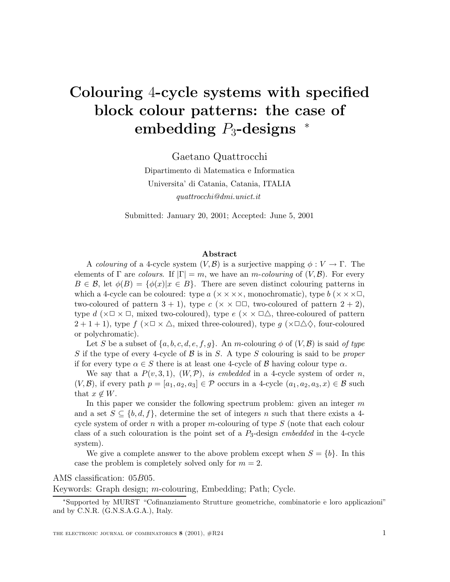# **Colouring** 4**-cycle systems with specified block colour patterns: the case of embedding** P3**-designs** <sup>∗</sup>

Gaetano Quattrocchi

Dipartimento di Matematica e Informatica Universita' di Catania, Catania, ITALIA *quattrocchi@dmi.unict.it*

Submitted: January 20, 2001; Accepted: June 5, 2001

#### **Abstract**

A *colouring* of a 4-cycle system  $(V, \mathcal{B})$  is a surjective mapping  $\phi : V \to \Gamma$ . The elements of  $\Gamma$  are *colours*. If  $|\Gamma| = m$ , we have an *m*-*colouring* of  $(V, \mathcal{B})$ . For every  $B \in \mathcal{B}$ , let  $\phi(B) = {\phi(x)}|x \in B$ . There are seven distinct colouring patterns in which a 4-cycle can be coloured: type  $a$  ( $\times \times \times \times$ , monochromatic), type  $b$  ( $\times \times \times \square$ , two-coloured of pattern  $3 + 1$ ), type  $c \times \square \square$ , two-coloured of pattern  $2 + 2$ ), type d ( $\times\Box\times\Box$ , mixed two-coloured), type e ( $\times\times\Box\triangle$ , three-coloured of pattern  $2+1+1$ , type  $f(\times\Box\times\triangle$ , mixed three-coloured), type  $g(\times\Box\triangle\Diamond)$ , four-coloured or polychromatic).

Let S be a subset of  $\{a, b, c, d, e, f, g\}$ . An m-colouring  $\phi$  of  $(V, \mathcal{B})$  is said of type S if the type of every 4-cycle of B is in S. A type S colouring is said to be *proper* if for every type  $\alpha \in S$  there is at least one 4-cycle of B having colour type  $\alpha$ .

We say that a  $P(v, 3, 1)$ ,  $(W, \mathcal{P})$ , *is embedded* in a 4-cycle system of order n,  $(V,\mathcal{B})$ , if every path  $p = [a_1, a_2, a_3] \in \mathcal{P}$  occurs in a 4-cycle  $(a_1, a_2, a_3, x) \in \mathcal{B}$  such that  $x \notin W$ .

In this paper we consider the following spectrum problem: given an integer  $m$ and a set  $S \subseteq \{b, d, f\}$ , determine the set of integers n such that there exists a 4cycle system of order  $n$  with a proper  $m$ -colouring of type  $S$  (note that each colour class of a such colouration is the point set of a P3-design *embedded* in the 4-cycle system).

We give a complete answer to the above problem except when  $S = \{b\}$ . In this case the problem is completely solved only for  $m = 2$ .

AMS classification: 05B05.

Keywords: Graph design; m-colouring, Embedding; Path; Cycle.

<sup>∗</sup>Supported by MURST "Cofinanziamento Strutture geometriche, combinatorie e loro applicazioni" and by C.N.R. (G.N.S.A.G.A.), Italy.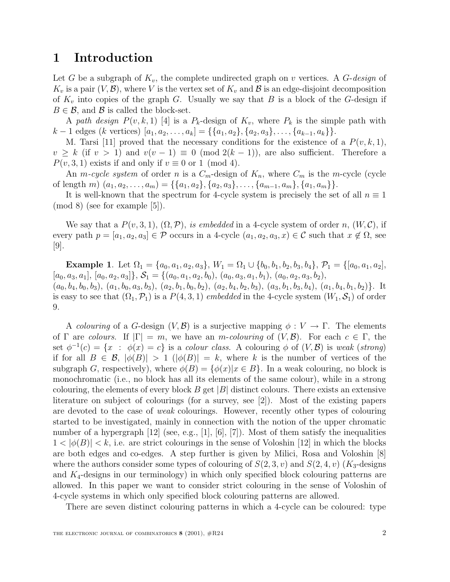#### **1 Introduction**

Let G be a subgraph of  $K_v$ , the complete undirected graph on v vertices. A G-design of  $K_v$  is a pair  $(V, \mathcal{B})$ , where V is the vertex set of  $K_v$  and  $\mathcal{B}$  is an edge-disjoint decomposition of  $K_v$  into copies of the graph G. Usually we say that B is a block of the G-design if  $B \in \mathcal{B}$ , and  $\mathcal{B}$  is called the block-set.

A path design  $P(v, k, 1)$  [4] is a  $P_k$ -design of  $K_v$ , where  $P_k$  is the simple path with  $k-1$  edges  $(k$  vertices)  $[a_1, a_2,..., a_k] = \{\{a_1, a_2\}, \{a_2, a_3\},..., \{a_{k-1}, a_k\}\}.$ 

M. Tarsi [11] proved that the necessary conditions for the existence of a  $P(v, k, 1)$ ,  $v \geq k$  (if  $v > 1$ ) and  $v(v - 1) \equiv 0 \pmod{2(k-1)}$ , are also sufficient. Therefore a  $P(v, 3, 1)$  exists if and only if  $v \equiv 0$  or 1 (mod 4).

An *m-cycle system* of order *n* is a  $C_m$ -design of  $K_n$ , where  $C_m$  is the *m*-cycle (cycle of length m)  $(a_1, a_2,..., a_m) = \{\{a_1, a_2\}, \{a_2, a_3\},..., \{a_{m-1}, a_m\}, \{a_1, a_m\}\}.$ 

It is well-known that the spectrum for 4-cycle system is precisely the set of all  $n \equiv 1$ (mod 8) (see for example [5]).

We say that a  $P(v, 3, 1), (\Omega, \mathcal{P})$ , is embedded in a 4-cycle system of order n,  $(W, \mathcal{C})$ , if every path  $p = [a_1, a_2, a_3] \in \mathcal{P}$  occurs in a 4-cycle  $(a_1, a_2, a_3, x) \in \mathcal{C}$  such that  $x \notin \Omega$ , see [9].

**Example 1**. Let  $\Omega_1 = \{a_0, a_1, a_2, a_3\}, W_1 = \Omega_1 \cup \{b_0, b_1, b_2, b_3, b_4\}, P_1 = \{[a_0, a_1, a_2],$  $[a_0, a_3, a_1], [a_0, a_2, a_3], \mathcal{S}_1 = \{(a_0, a_1, a_2, b_0), (a_0, a_3, a_1, b_1), (a_0, a_2, a_3, b_2),$  $(a_0, b_4, b_0, b_3), (a_1, b_0, a_3, b_3), (a_2, b_1, b_0, b_2), (a_2, b_4, b_2, b_3), (a_3, b_1, b_3, b_4), (a_1, b_4, b_1, b_2)\}.$  It is easy to see that  $(\Omega_1, \mathcal{P}_1)$  is a  $P(4, 3, 1)$  embedded in the 4-cycle system  $(W_1, \mathcal{S}_1)$  of order 9.

A colouring of a G-design  $(V, \mathcal{B})$  is a surjective mapping  $\phi: V \to \Gamma$ . The elements of  $\Gamma$  are colours. If  $|\Gamma| = m$ , we have an m-colouring of  $(V, \mathcal{B})$ . For each  $c \in \Gamma$ , the set  $\phi^{-1}(c) = \{x : \phi(x) = c\}$  is a colour class. A colouring  $\phi$  of  $(V, \mathcal{B})$  is weak (strong) if for all  $B \in \mathcal{B}$ ,  $|\phi(B)| > 1$  ( $|\phi(B)| = k$ , where k is the number of vertices of the subgraph G, respectively), where  $\phi(B) = {\phi(x)|x \in B}$ . In a weak colouring, no block is monochromatic (i.e., no block has all its elements of the same colour), while in a strong colouring, the elements of every block  $B$  get  $|B|$  distinct colours. There exists an extensive literature on subject of colourings (for a survey, see [2]). Most of the existing papers are devoted to the case of weak colourings. However, recently other types of colouring started to be investigated, mainly in connection with the notion of the upper chromatic number of a hypergraph  $[12]$  (see, e.g.,  $[1]$ ,  $[6]$ ,  $[7]$ ). Most of them satisfy the inequalities  $1 < |\phi(B)| < k$ , i.e. are strict colourings in the sense of Voloshin [12] in which the blocks are both edges and co-edges. A step further is given by Milici, Rosa and Voloshin [8] where the authors consider some types of colouring of  $S(2,3, v)$  and  $S(2,4, v)$  (K<sub>3</sub>-designs and  $K_4$ -designs in our terminology) in which only specified block colouring patterns are allowed. In this paper we want to consider strict colouring in the sense of Voloshin of 4-cycle systems in which only specified block colouring patterns are allowed.

There are seven distinct colouring patterns in which a 4-cycle can be coloured: type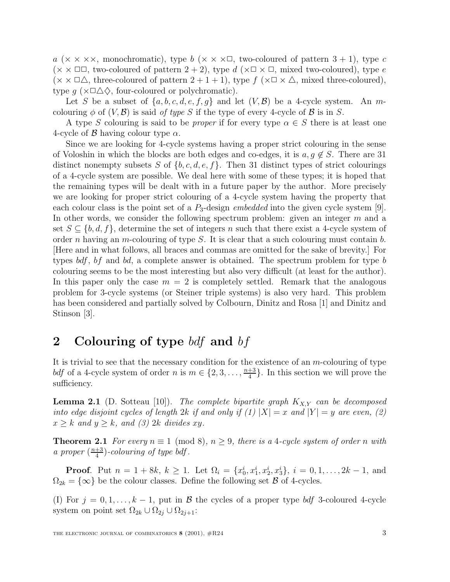a ( $\times \times \times \times$ , monochromatic), type b ( $\times \times \times \square$ , two-coloured of pattern 3 + 1), type c  $(\times \times \square \square,$  two-coloured of pattern  $2 + 2$ ), type d  $(\times \square \times \square,$  mixed two-coloured), type e  $(\times \times \square \triangle$ , three-coloured of pattern  $2 + 1 + 1$ , type  $f(\times \square \times \triangle$ , mixed three-coloured), type  $g$  ( $\times \Box \triangle \Diamond$ , four-coloured or polychromatic).

Let S be a subset of  $\{a, b, c, d, e, f, g\}$  and let  $(V, \mathcal{B})$  be a 4-cycle system. An mcolouring  $\phi$  of  $(V, \mathcal{B})$  is said of type S if the type of every 4-cycle of  $\mathcal{B}$  is in S.

A type S colouring is said to be *proper* if for every type  $\alpha \in S$  there is at least one 4-cycle of  $\beta$  having colour type  $\alpha$ .

Since we are looking for 4-cycle systems having a proper strict colouring in the sense of Voloshin in which the blocks are both edges and co-edges, it is  $a, q \notin S$ . There are 31 distinct nonempty subsets S of  $\{b, c, d, e, f\}$ . Then 31 distinct types of strict colourings of a 4-cycle system are possible. We deal here with some of these types; it is hoped that the remaining types will be dealt with in a future paper by the author. More precisely we are looking for proper strict colouring of a 4-cycle system having the property that each colour class is the point set of a  $P_3$ -design *embedded* into the given cycle system [9]. In other words, we consider the following spectrum problem: given an integer  $m$  and a set  $S \subseteq \{b, d, f\}$ , determine the set of integers n such that there exist a 4-cycle system of order n having an m-colouring of type S. It is clear that a such colouring must contain  $b$ . [Here and in what follows, all braces and commas are omitted for the sake of brevity.] For types  $bdf$ ,  $bf$  and  $bd$ , a complete answer is obtained. The spectrum problem for type  $b$ colouring seems to be the most interesting but also very difficult (at least for the author). In this paper only the case  $m = 2$  is completely settled. Remark that the analogous problem for 3-cycle systems (or Steiner triple systems) is also very hard. This problem has been considered and partially solved by Colbourn, Dinitz and Rosa [1] and Dinitz and Stinson [3].

# **2 Colouring of type** bdf **and** bf

It is trivial to see that the necessary condition for the existence of an m-colouring of type bdf of a 4-cycle system of order n is  $m \in \{2, 3, \ldots, \frac{n+3}{4}\}.$  In this section we will prove the sufficiency.

**Lemma 2.1** (D. Sotteau [10]). The complete bipartite graph  $K_{X,Y}$  can be decomposed into edge disjoint cycles of length 2k if and only if (1)  $|X| = x$  and  $|Y| = y$  are even, (2)  $x \geq k$  and  $y \geq k$ , and (3) 2k divides xy.

**Theorem 2.1** For every  $n \equiv 1 \pmod{8}$ ,  $n \geq 9$ , there is a 4-cycle system of order n with a proper  $\left(\frac{n+3}{4}\right)$ -colouring of type bdf.

**Proof**. Put  $n = 1 + 8k$ ,  $k \ge 1$ . Let  $\Omega_i = \{x_0^i, x_1^i, x_2^i, x_3^i\}$ ,  $i = 0, 1, ..., 2k - 1$ , and  $\Omega_{2k} = \{\infty\}$  be the colour classes. Define the following set  $\beta$  of 4-cycles.

(I) For  $j = 0, 1, \ldots, k - 1$ , put in  $\beta$  the cycles of a proper type bdf 3-coloured 4-cycle system on point set  $\Omega_{2k} \cup \Omega_{2j} \cup \Omega_{2j+1}$ :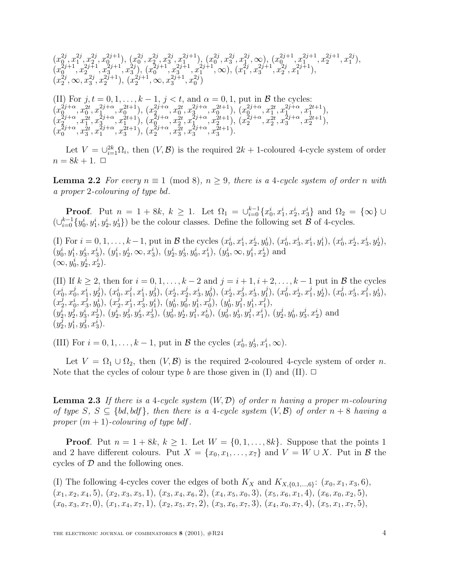$$
\begin{array}{l} (x_0^{2j},x_1^{2j},x_2^{2j},x_0^{2j+1}),\ (x_0^{2j},x_2^{2j},x_3^{2j},x_1^{2j+1}),\ (x_0^{2j},x_3^{2j},x_1^{2j},\infty),\ (x_0^{2j+1},x_1^{2j+1},x_2^{2j+1},x_1^{2j}),\\ (x_0^{2j+1},x_2^{2j+1},x_3^{2j+1},x_3^{2j}),\ (x_0^{2j+1},x_3^{2j+1},x_1^{2j+1},\infty),\ (x_1^{2j},x_3^{2j+1},x_2^{2j+1}),\\ (x_2^{2j},\infty,x_3^{2j},x_2^{2j+1}),\ (x_2^{2j+1},\infty,x_3^{2j+1},x_0^{2j}) \end{array}
$$

(II) For  $j, t = 0, 1, \ldots, k - 1, j < t$ , and  $\alpha = 0, 1$ , put in  $\beta$  the cycles:  $(x_0^{2j+\alpha}, x_0^{2t}, x_1^{2j+\alpha}, x_0^{2t+1}), (x_2^{2j+\alpha}, x_0^{2t}, x_3^{2j+\alpha}, x_0^{2t+1}), (x_0^{2j+\alpha}, x_1^{2t}, x_1^{2j+\alpha}, x_1^{2t+1}),$  $(x_2^{\tilde{2}j+\alpha},x_1^{\tilde{2}t},x_3^{\tilde{2}j+\alpha},x_1^{\tilde{2}t+1}),\ (x_0^{\tilde{2}j+\alpha},x_2^{\tilde{2}t},x_1^{\tilde{2}j+\alpha},x_2^{\tilde{2}t+1}),\ (x_2^{\tilde{2}j+\alpha},x_2^{\tilde{2}t},x_3^{\tilde{2}j+\alpha},x_2^{\tilde{2}t+1}),$  $(x_0^{2j+\alpha}, x_3^{\overline{2}t}, x_1^{2j+\alpha}, x_3^{\overline{2}t+1}), (x_2^{2j+\alpha}, x_3^{\overline{2}t}, x_3^{\overline{2}j+\alpha}, x_3^{\overline{2}t+1}).$ 

Let  $V = \bigcup_{i=1}^{2k} \Omega_i$ , then  $(V, \mathcal{B})$  is the required  $2k + 1$ -coloured 4-cycle system of order  $n = 8k + 1$ .  $\Box$ 

**Lemma 2.2** For every  $n \equiv 1 \pmod{8}$ ,  $n \geq 9$ , there is a 4-cycle system of order n with a proper 2-colouring of type bd.

**Proof**. Put  $n = 1 + 8k$ ,  $k \ge 1$ . Let  $\Omega_1 = \bigcup_{i=0}^{k-1} \{x_0^i, x_1^i, x_2^i, x_3^i\}$  and  $\Omega_2 = \{\infty\} \cup$  $(\cup_{i=0}^{k-1} \{y_0^i, y_1^i, y_2^i, y_3^i\})$  be the colour classes. Define the following set  $\mathcal{B}$  of 4-cycles.

(I) For  $i = 0, 1, \ldots, k-1$ , put in B the cycles  $(x_0^i, x_1^i, x_2^i, y_0^i), (x_0^i, x_3^i, x_1^i, y_1^i), (x_0^i, x_2^i, x_3^i, y_2^i),$  $(y_0^i, y_1^i, y_3^i, x_3^i), (y_1^i, y_2^i, \infty, x_3^i), (y_2^i, y_3^i, y_0^i, x_1^i), (y_3^i, \infty, y_1^i, x_2^i)$  and  $(\infty, y_0^i, y_2^i, x_2^i).$ 

(II) If  $k \geq 2$ , then for  $i = 0, 1, \ldots, k - 2$  and  $j = i + 1, i + 2, \ldots, k - 1$  put in B the cycles  $(x_0^i, x_0^j, x_1^i, y_2^j),\, (x_0^i, x_1^j, x_1^i, y_3^j),\, (x_2^i, x_2^j, x_3^i, y_0^j),\, (x_2^i, x_3^j, x_3^i, y_1^j),\, (x_0^j, x_2^i, x_1^j, y_2^i),\, (x_0^j, x_3^i, x_1^j, y_3^i),$  $(x_2^j,x_0^{\bar{i}},x_3^{\bar{j}},y_0^{\bar{i}}),\,(x_2^j,x_1^{\bar{i}},x_3^{\bar{j}},y_1^{\bar{i}}),\,(y_0^{\bar{i}},y_0^j,y_1^{\bar{i}},x_0^j),\,(y_0^{\bar{i}},y_1^j,y_1^i,x_1^j),$  $(y_2^{\overline{i}}, y_2^{\overline{j}}, y_3^{\overline{i}}, x_2^{\overline{j}}), (y_2^{\overline{i}}, y_3^{\overline{i}}, x_3^{\overline{i}}), (y_0^{\overline{j}}, y_2^{\overline{i}}, y_1^{\overline{j}}, x_0^{\overline{i}}), (y_0^{\overline{j}}, y_3^{\overline{i}}, y_1^{\overline{j}}, x_1^{\overline{i}}), (y_2^{\overline{j}}, y_0^{\overline{i}}, y_3^{\overline{i}}, x_2^{\overline{i}})$  and  $(y_2^{\overline{j}},y_1^{\overline{i}},y_3^{\overline{j}},x_3^{\overline{i}}).$ 

(III) For  $i = 0, 1, ..., k - 1$ , put in  $\mathcal{B}$  the cycles  $(x_0^i, y_3^i, x_1^i, \infty)$ .

Let  $V = \Omega_1 \cup \Omega_2$ , then  $(V, \mathcal{B})$  is the required 2-coloured 4-cycle system of order n. Note that the cycles of colour type b are those given in (I) and (II).  $\Box$ 

**Lemma 2.3** If there is a 4-cycle system  $(W, \mathcal{D})$  of order n having a proper m-colouring of type S,  $S \subseteq \{ bd, bdf \}$ , then there is a 4-cycle system  $(V, \mathcal{B})$  of order  $n + 8$  having a proper  $(m + 1)$ -colouring of type bdf.

**Proof**. Put  $n = 1 + 8k$ ,  $k \ge 1$ . Let  $W = \{0, 1, ..., 8k\}$ . Suppose that the points 1 and 2 have different colours. Put  $X = \{x_0, x_1, \ldots, x_7\}$  and  $V = W \cup X$ . Put in  $\beta$  the cycles of  $D$  and the following ones.

(I) The following 4-cycles cover the edges of both  $K_X$  and  $K_{X,\{0,1,\ldots,6\}}$ :  $(x_0, x_1, x_3, 6)$ ,  $(x_1, x_2, x_4, 5), (x_2, x_3, x_5, 1), (x_3, x_4, x_6, 2), (x_4, x_5, x_0, 3), (x_5, x_6, x_1, 4), (x_6, x_0, x_2, 5),$  $(x_0, x_3, x_7, 0), (x_1, x_4, x_7, 1), (x_2, x_5, x_7, 2), (x_3, x_6, x_7, 3), (x_4, x_0, x_7, 4), (x_5, x_1, x_7, 5),$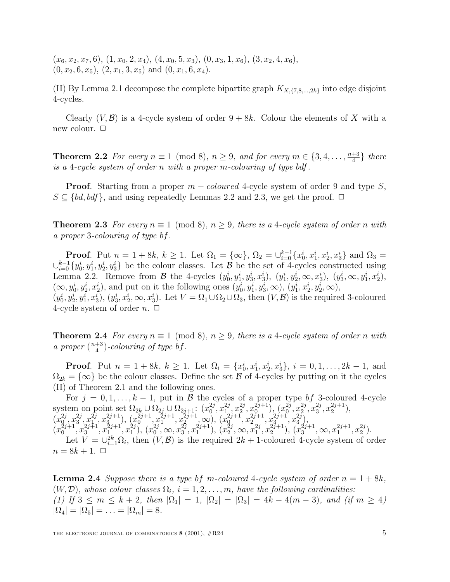$(x_6, x_2, x_7, 6), (1, x_0, 2, x_4), (4, x_0, 5, x_3), (0, x_3, 1, x_6), (3, x_2, 4, x_6),$  $(0, x_2, 6, x_5), (2, x_1, 3, x_5)$  and  $(0, x_1, 6, x_4)$ .

(II) By Lemma 2.1 decompose the complete bipartite graph  $K_{X,\{7,8,\ldots,2k\}}$  into edge disjoint 4-cycles.

Clearly  $(V, \mathcal{B})$  is a 4-cycle system of order  $9 + 8k$ . Colour the elements of X with a new colour.  $\Box$ 

**Theorem 2.2** For every  $n \equiv 1 \pmod{8}$ ,  $n \geq 9$ , and for every  $m \in \{3, 4, \ldots, \frac{n+3}{4}\}$  there is a 4-cycle system of order n with a proper m-colouring of type bdf.

**Proof.** Starting from a proper  $m$  – *coloured* 4-cycle system of order 9 and type  $S$ ,  $S \subseteq \{ bd, bdf \}$ , and using repeatedly Lemmas 2.2 and 2.3, we get the proof.  $\Box$ 

**Theorem 2.3** For every  $n \equiv 1 \pmod{8}$ ,  $n \geq 9$ , there is a 4-cycle system of order n with a proper 3-colouring of type bf.

**Proof**. Put  $n = 1 + 8k$ ,  $k \ge 1$ . Let  $\Omega_1 = {\infty}$ ,  $\Omega_2 = \bigcup_{i=0}^{k-1} {\{x_0^i, x_1^i, x_2^i, x_3^i\}}$  and  $\Omega_3 =$  $\cup_{i=0}^{k-1} \{y_0^i, y_1^i, y_2^i, y_3^i\}$  be the colour classes. Let  $\mathcal B$  be the set of 4-cycles constructed using Lemma 2.2. Remove from  $\mathcal{B}$  the 4-cycles  $(y_0^i, y_1^i, y_3^i, x_3^i), (y_1^i, y_2^i, \infty, x_3^i), (y_3^i, \infty, y_1^i, x_2^i),$  $(\infty, y_0^i, y_2^i, x_2^i)$ , and put on it the following ones  $(y_0^i, y_1^i, y_3^i, \infty)$ ,  $(y_1^i, x_2^i, y_2^i, \infty)$ ,  $(y_0^i, y_2^i, y_1^i, x_3^i), (y_3^i, x_2^i, \infty, x_3^i)$ . Let  $V = \Omega_1 \cup \Omega_2 \cup \Omega_3$ , then  $(V, \mathcal{B})$  is the required 3-coloured

**Theorem 2.4** For every  $n \equiv 1 \pmod{8}$ ,  $n > 9$ , there is a 4-cycle system of order n with a proper  $\left(\frac{n+3}{4}\right)$ -colouring of type bf.

**Proof**. Put  $n = 1 + 8k$ ,  $k \ge 1$ . Let  $\Omega_i = \{x_0^i, x_1^i, x_2^i, x_3^i\}$ ,  $i = 0, 1, ..., 2k - 1$ , and  $\Omega_{2k} = \{\infty\}$  be the colour classes. Define the set  $\beta$  of 4-cycles by putting on it the cycles (II) of Theorem 2.1 and the following ones.

For  $j = 0, 1, \ldots, k - 1$ , put in B the cycles of a proper type bf 3-coloured 4-cycle system on point set  $\Omega_{2k} \cup \Omega_{2j} \cup \Omega_{2j+1}$ :  $(x_0^{2j}, x_1^{2j}, x_2^{2j}, x_0^{2j+1})$ ,  $(x_0^{2j}, x_2^{2j}, x_3^{2j}, x_2^{2j+1})$ ,  $(x_0^{2j}, x_3^{2j}, x_1^{2j}, x_3^{2j+1}), (x_0^{2j+1}, x_1^{2j+1}, x_2^{2j+1}, \infty), (x_0^{2j+1}, x_2^{2j+1}, x_3^{2j+1}, x_3^{2j}),$  $(x_0^{2j+1}, x_3^{2j+1}, x_1^{2j+1}, x_1^{2j}), (x_0^{2j}, \infty, x_3^{2j}, x_1^{2j+1}), (x_2^{2j}, \infty, x_1^{2j}, x_2^{2j+1}), (x_3^{2j+1}, \infty, x_1^{2j+1}, x_2^{2j}).$ Let  $V = \bigcup_{i=1}^{2k} \Omega_i$ , then  $(V, \mathcal{B})$  is the required  $2k + 1$ -coloured 4-cycle system of order  $n = 8k + 1$ .  $\Box$ 

**Lemma 2.4** Suppose there is a type bf m-coloured 4-cycle system of order  $n = 1 + 8k$ ,  $(W, \mathcal{D})$ , whose colour classes  $\Omega_i$ ,  $i = 1, 2, \ldots, m$ , have the following cardinalities: (1) If  $3 \le m \le k+2$ , then  $|\Omega_1| = 1$ ,  $|\Omega_2| = |\Omega_3| = 4k - 4(m-3)$ , and (if  $m \ge 4$ )  $|\Omega_4| = |\Omega_5| = \ldots = |\Omega_m| = 8.$ 

4-cycle system of order  $n. \Box$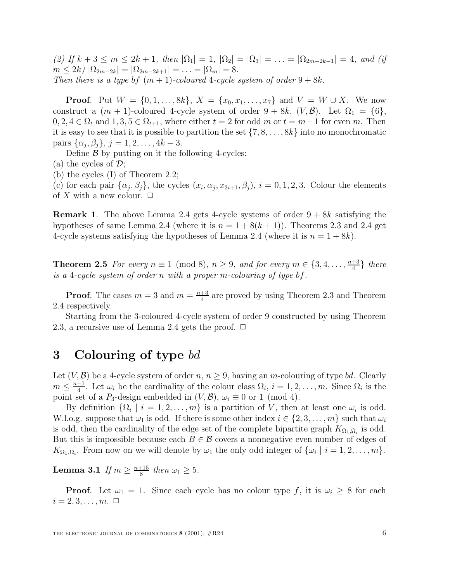(2) If  $k + 3 \le m \le 2k + 1$ , then  $|\Omega_1| = 1$ ,  $|\Omega_2| = |\Omega_3| = \ldots = |\Omega_{2m-2k-1}| = 4$ , and (if  $m \leq 2k$ )  $|\Omega_{2m-2k}| = |\Omega_{2m-2k+1}| = \ldots = |\Omega_m| = 8.$ Then there is a type bf  $(m + 1)$ -coloured 4-cycle system of order  $9 + 8k$ .

**Proof.** Put  $W = \{0, 1, ..., 8k\}, X = \{x_0, x_1, ..., x_7\}$  and  $V = W \cup X$ . We now construct a  $(m + 1)$ -coloured 4-cycle system of order  $9 + 8k$ ,  $(V, \mathcal{B})$ . Let  $\Omega_1 = \{6\}$ ,  $0, 2, 4 \in \Omega_t$  and  $1, 3, 5 \in \Omega_{t+1}$ , where either  $t = 2$  for odd m or  $t = m-1$  for even m. Then it is easy to see that it is possible to partition the set  $\{7, 8, \ldots, 8k\}$  into no monochromatic pairs  $\{\alpha_i, \beta_i\}, j = 1, 2, \ldots, 4k - 3.$ 

Define  $\beta$  by putting on it the following 4-cycles:

(a) the cycles of  $\mathcal{D}$ ;

(b) the cycles (I) of Theorem 2.2;

(c) for each pair  $\{\alpha_j, \beta_j\}$ , the cycles  $(x_i, \alpha_j, x_{2i+1}, \beta_j)$ ,  $i = 0, 1, 2, 3$ . Colour the elements of X with a new colour.  $\Box$ 

**Remark 1**. The above Lemma 2.4 gets 4-cycle systems of order  $9 + 8k$  satisfying the hypotheses of same Lemma 2.4 (where it is  $n = 1 + 8(k + 1)$ ). Theorems 2.3 and 2.4 get 4-cycle systems satisfying the hypotheses of Lemma 2.4 (where it is  $n = 1 + 8k$ ).

**Theorem 2.5** For every  $n \equiv 1 \pmod{8}$ ,  $n \geq 9$ , and for every  $m \in \{3, 4, \ldots, \frac{n+3}{4}\}$  there is a 4-cycle system of order n with a proper m-colouring of type bf.

**Proof**. The cases  $m = 3$  and  $m = \frac{n+3}{4}$  are proved by using Theorem 2.3 and Theorem 2.4 respectively.

Starting from the 3-coloured 4-cycle system of order 9 constructed by using Theorem 2.3, a recursive use of Lemma 2.4 gets the proof.  $\Box$ 

#### **3 Colouring of type** bd

Let  $(V, \mathcal{B})$  be a 4-cycle system of order  $n, n \geq 9$ , having an m-colouring of type bd. Clearly  $m \leq \frac{n-1}{4}$ . Let  $\omega_i$  be the cardinality of the colour class  $\Omega_i$ ,  $i = 1, 2, ..., m$ . Since  $\Omega_i$  is the point set of a P<sub>3</sub>-design embedded in  $(V, \mathcal{B})$ ,  $\omega_i \equiv 0$  or 1 (mod 4).

By definition  $\{\Omega_i \mid i = 1, 2, \ldots, m\}$  is a partition of V, then at least one  $\omega_i$  is odd. W.l.o.g. suppose that  $\omega_1$  is odd. If there is some other index  $i \in \{2, 3, \ldots, m\}$  such that  $\omega_i$ is odd, then the cardinality of the edge set of the complete bipartite graph  $K_{\Omega_1,\Omega_i}$  is odd. But this is impossible because each  $B \in \mathcal{B}$  covers a nonnegative even number of edges of  $K_{\Omega_1,\Omega_i}$ . From now on we will denote by  $\omega_1$  the only odd integer of  $\{\omega_i \mid i = 1,2,\ldots,m\}$ .

**Lemma 3.1** If  $m \geq \frac{n+15}{8}$  then  $\omega_1 \geq 5$ .

**Proof.** Let  $\omega_1 = 1$ . Since each cycle has no colour type f, it is  $\omega_i \geq 8$  for each  $i = 2, 3, \ldots, m$ .  $\Box$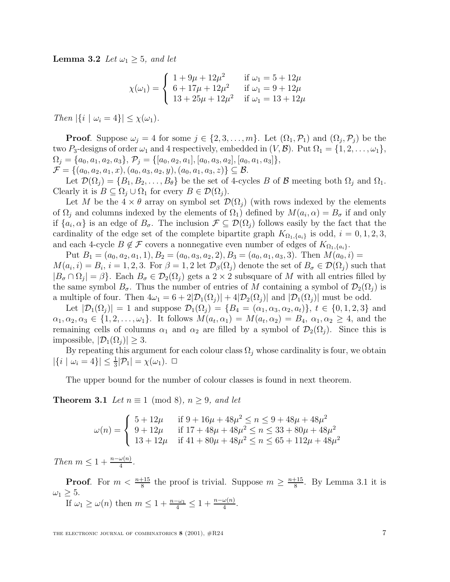**Lemma 3.2** Let  $\omega_1 \geq 5$ , and let

$$
\chi(\omega_1) = \begin{cases}\n1 + 9\mu + 12\mu^2 & \text{if } \omega_1 = 5 + 12\mu \\
6 + 17\mu + 12\mu^2 & \text{if } \omega_1 = 9 + 12\mu \\
13 + 25\mu + 12\mu^2 & \text{if } \omega_1 = 13 + 12\mu\n\end{cases}
$$

Then  $|\{i \mid \omega_i = 4\}| \leq \chi(\omega_1)$ .

**Proof**. Suppose  $\omega_i = 4$  for some  $j \in \{2, 3, ..., m\}$ . Let  $(\Omega_1, \mathcal{P}_1)$  and  $(\Omega_i, \mathcal{P}_i)$  be the two  $P_3$ -designs of order  $\omega_1$  and 4 respectively, embedded in  $(V,\mathcal{B})$ . Put  $\Omega_1 = \{1,2,\ldots,\omega_1\},$  $\Omega_j = \{a_0, a_1, a_2, a_3\}, \mathcal{P}_j = \{[a_0, a_2, a_1], [a_0, a_3, a_2], [a_0, a_1, a_3]\},\$  $\mathcal{F} = \{(a_0, a_2, a_1, x), (a_0, a_3, a_2, y), (a_0, a_1, a_3, z)\}\subseteq \mathcal{B}.$ 

Let  $\mathcal{D}(\Omega_i) = \{B_1, B_2, \ldots, B_\theta\}$  be the set of 4-cycles B of B meeting both  $\Omega_i$  and  $\Omega_1$ . Clearly it is  $B \subseteq \Omega_i \cup \Omega_1$  for every  $B \in \mathcal{D}(\Omega_i)$ .

Let M be the  $4 \times \theta$  array on symbol set  $\mathcal{D}(\Omega_i)$  (with rows indexed by the elements of  $\Omega_i$  and columns indexed by the elements of  $\Omega_1$ ) defined by  $M(a_i, \alpha) = B_{\sigma}$  if and only if  $\{a_i, \alpha\}$  is an edge of  $B_{\sigma}$ . The inclusion  $\mathcal{F} \subseteq \mathcal{D}(\Omega_j)$  follows easily by the fact that the cardinality of the edge set of the complete bipartite graph  $K_{\Omega_1,\{a_i\}}$  is odd,  $i = 0, 1, 2, 3$ , and each 4-cycle  $B \notin \mathcal{F}$  covers a nonnegative even number of edges of  $K_{\Omega_1, \{a_i\}}$ .

Put  $B_1 = (a_0, a_2, a_1, 1), B_2 = (a_0, a_3, a_2, 2), B_3 = (a_0, a_1, a_3, 3).$  Then  $M(a_0, i)$  $M(a_i, i) = B_i$ ,  $i = 1, 2, 3$ . For  $\beta = 1, 2$  let  $\mathcal{D}_{\beta}(\Omega_j)$  denote the set of  $B_{\sigma} \in \mathcal{D}(\Omega_j)$  such that  $|B_{\sigma} \cap \Omega_j| = \beta$ . Each  $B_{\sigma} \in \mathcal{D}_2(\Omega_j)$  gets a  $2 \times 2$  subsquare of M with all entries filled by the same symbol  $B_{\sigma}$ . Thus the number of entries of M containing a symbol of  $\mathcal{D}_2(\Omega_i)$  is a multiple of four. Then  $4\omega_1 = 6 + 2|\mathcal{D}_1(\Omega_i)| + 4|\mathcal{D}_2(\Omega_i)|$  and  $|\mathcal{D}_1(\Omega_i)|$  must be odd.

Let  $|\mathcal{D}_1(\Omega_i)| = 1$  and suppose  $\mathcal{D}_1(\Omega_i) = \{B_4 = (\alpha_1, \alpha_3, \alpha_2, a_t)\}, t \in \{0, 1, 2, 3\}$  and  $\alpha_1, \alpha_2, \alpha_3 \in \{1, 2, \ldots, \omega_1\}.$  It follows  $M(a_t, \alpha_1) = M(a_t, \alpha_2) = B_4$ ,  $\alpha_1, \alpha_2 \ge 4$ , and the remaining cells of columns  $\alpha_1$  and  $\alpha_2$  are filled by a symbol of  $\mathcal{D}_2(\Omega_j)$ . Since this is impossible,  $|\mathcal{D}_1(\Omega_i)| \geq 3$ .

By repeating this argument for each colour class  $\Omega_j$  whose cardinality is four, we obtain  $|\{i \mid \omega_i = 4\}| \leq \frac{1}{3}|\mathcal{P}_1| = \chi(\omega_1).$ 

The upper bound for the number of colour classes is found in next theorem.

**Theorem 3.1** Let  $n \equiv 1 \pmod{8}$ ,  $n > 9$ , and let

$$
\omega(n) = \begin{cases} 5 + 12\mu & \text{if } 9 + 16\mu + 48\mu^2 \le n \le 9 + 48\mu + 48\mu^2 \\ 9 + 12\mu & \text{if } 17 + 48\mu + 48\mu^2 \le n \le 33 + 80\mu + 48\mu^2 \\ 13 + 12\mu & \text{if } 41 + 80\mu + 48\mu^2 \le n \le 65 + 112\mu + 48\mu^2 \end{cases}
$$

Then  $m \leq 1 + \frac{n - \omega(n)}{4}$ .

**Proof**. For  $m < \frac{n+15}{8}$  the proof is trivial. Suppose  $m \geq \frac{n+15}{8}$ . By Lemma 3.1 it is  $\omega_1 \geq 5$ .

If  $\omega_1 \ge \omega(n)$  then  $m \le 1 + \frac{n - \omega_1}{4} \le 1 + \frac{n - \omega(n)}{4}$ .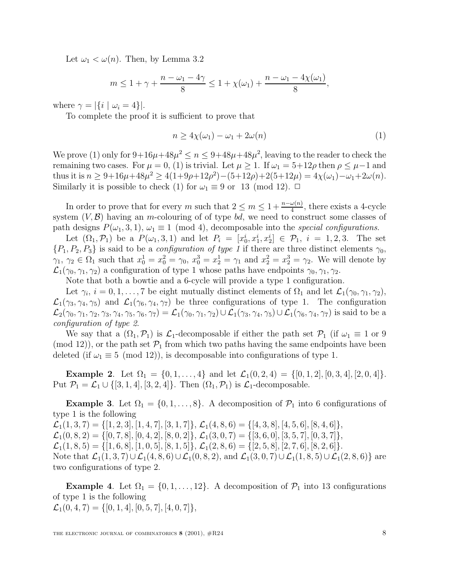Let  $\omega_1 < \omega(n)$ . Then, by Lemma 3.2

$$
m \le 1 + \gamma + \frac{n - \omega_1 - 4\gamma}{8} \le 1 + \chi(\omega_1) + \frac{n - \omega_1 - 4\chi(\omega_1)}{8},
$$

where  $\gamma = |\{i \mid \omega_i = 4\}|$ .

To complete the proof it is sufficient to prove that

$$
n \ge 4\chi(\omega_1) - \omega_1 + 2\omega(n) \tag{1}
$$

We prove (1) only for  $9+16\mu+48\mu^2 \leq n \leq 9+48\mu+48\mu^2$ , leaving to the reader to check the remaining two cases. For  $\mu = 0$ , (1) is trivial. Let  $\mu \geq 1$ . If  $\omega_1 = 5+12\rho$  then  $\rho \leq \mu-1$  and thus it is  $n \geq 9+16\mu+48\mu^2 \geq 4(1+9\rho+12\rho^2)-(5+12\rho)+2(5+12\mu) = 4\chi(\omega_1)-\omega_1+2\omega(n)$ . Similarly it is possible to check (1) for  $\omega_1 \equiv 9$  or 13 (mod 12).  $\Box$ 

In order to prove that for every m such that  $2 \le m \le 1 + \frac{n-\omega(n)}{4}$ , there exists a 4-cycle system  $(V, \mathcal{B})$  having an m-colouring of of type bd, we need to construct some classes of path designs  $P(\omega_1, 3, 1), \omega_1 \equiv 1 \pmod{4}$ , decomposable into the *special configurations*.

Let  $(\Omega_1, \mathcal{P}_1)$  be a  $P(\omega_1, 3, 1)$  and let  $P_i = [x_0^i, x_1^i, x_2^i] \in \mathcal{P}_1$ ,  $i = 1, 2, 3$ . The set  $\{P_1, P_2, P_3\}$  is said to be a *configuration of type 1* if there are three distinct elements  $\gamma_0$ ,  $\gamma_1, \gamma_2 \in \Omega_1$  such that  $x_0^1 = x_0^2 = \gamma_0, x_0^3 = x_2^1 = \gamma_1$  and  $x_2^2 = x_2^3 = \gamma_2$ . We will denote by  $\mathcal{L}_1(\gamma_0, \gamma_1, \gamma_2)$  a configuration of type 1 whose paths have endpoints  $\gamma_0, \gamma_1, \gamma_2$ .

Note that both a bowtie and a 6-cycle will provide a type 1 configuration.

Let  $\gamma_i$ ,  $i = 0, 1, \ldots, 7$  be eight mutually distinct elements of  $\Omega_1$  and let  $\mathcal{L}_1(\gamma_0, \gamma_1, \gamma_2)$ ,  $\mathcal{L}_1(\gamma_3, \gamma_4, \gamma_5)$  and  $\mathcal{L}_1(\gamma_6, \gamma_4, \gamma_7)$  be three configurations of type 1. The configuration  $\mathcal{L}_2(\gamma_0, \gamma_1, \gamma_2, \gamma_3, \gamma_4, \gamma_5, \gamma_6, \gamma_7) = \mathcal{L}_1(\gamma_0, \gamma_1, \gamma_2) \cup \mathcal{L}_1(\gamma_3, \gamma_4, \gamma_5) \cup \mathcal{L}_1(\gamma_6, \gamma_4, \gamma_7)$  is said to be a configuration of type 2.

We say that a  $(\Omega_1, \mathcal{P}_1)$  is  $\mathcal{L}_1$ -decomposable if either the path set  $\mathcal{P}_1$  (if  $\omega_1 \equiv 1$  or 9 (mod 12)), or the path set  $\mathcal{P}_1$  from which two paths having the same endpoints have been deleted (if  $\omega_1 \equiv 5 \pmod{12}$ ), is decomposable into configurations of type 1.

**Example 2**. Let  $\Omega_1 = \{0, 1, \ldots, 4\}$  and let  $\mathcal{L}_1(0, 2, 4) = \{[0, 1, 2], [0, 3, 4], [2, 0, 4]\}.$ Put  $\mathcal{P}_1 = \mathcal{L}_1 \cup \{ [3, 1, 4], [3, 2, 4] \}.$  Then  $(\Omega_1, \mathcal{P}_1)$  is  $\mathcal{L}_1$ -decomposable.

**Example 3**. Let  $\Omega_1 = \{0, 1, \ldots, 8\}$ . A decomposition of  $\mathcal{P}_1$  into 6 configurations of type 1 is the following  $\mathcal{L}_1(1,3,7) = \{ [1, 2, 3], [1, 4, 7], [3, 1, 7] \}, \mathcal{L}_1(4, 8, 6) = \{ [4, 3, 8], [4, 5, 6], [8, 4, 6] \},\$  $\mathcal{L}_1(0,8,2) = \{ [0, 7, 8], [0, 4, 2], [8, 0, 2] \}, \mathcal{L}_1(3, 0, 7) = \{ [3, 6, 0], [3, 5, 7], [0, 3, 7] \},\$  $\mathcal{L}_1(1, 8, 5) = \{ [1, 6, 8], [1, 0, 5], [8, 1, 5] \}, \mathcal{L}_1(2, 8, 6) = \{ [2, 5, 8], [2, 7, 6], [8, 2, 6] \}.$ Note that  $\mathcal{L}_1(1,3,7)\cup \mathcal{L}_1(4,8,6)\cup \mathcal{L}_1(0,8,2)$ , and  $\mathcal{L}_1(3,0,7)\cup \mathcal{L}_1(1,8,5)\cup \mathcal{L}_1(2,8,6)$  are two configurations of type 2.

**Example 4.** Let  $\Omega_1 = \{0, 1, \ldots, 12\}$ . A decomposition of  $\mathcal{P}_1$  into 13 configurations of type 1 is the following  $\mathcal{L}_1(0, 4, 7) = \{ [0, 1, 4], [0, 5, 7], [4, 0, 7] \},\$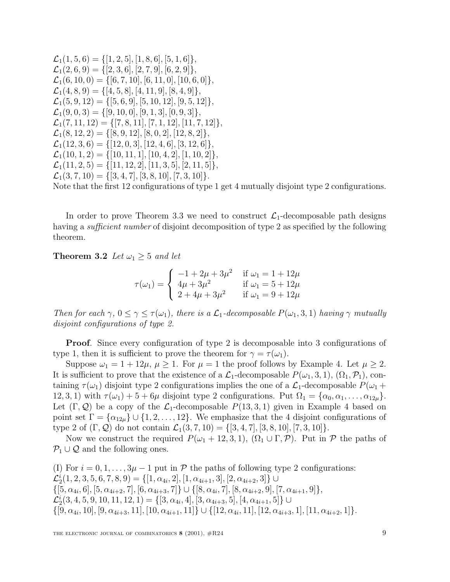$\mathcal{L}_1(1, 5, 6) = \{ [1, 2, 5], [1, 8, 6], [5, 1, 6] \},\$  $\mathcal{L}_1(2,6,9) = \{[2,3,6], [2,7,9], [6,2,9]\},\$  $\mathcal{L}_1(6, 10, 0) = \{ [6, 7, 10], [6, 11, 0], [10, 6, 0] \},\$  $\mathcal{L}_1(4, 8, 9) = \{ [4, 5, 8], [4, 11, 9], [8, 4, 9] \},\$  $\mathcal{L}_1(5, 9, 12) = \{ [5, 6, 9], [5, 10, 12], [9, 5, 12] \},\$  $\mathcal{L}_1(9, 0, 3) = \{ [9, 10, 0], [9, 1, 3], [0, 9, 3] \},\$  $\mathcal{L}_1(7, 11, 12) = \{ [ 7, 8, 11], [ 7, 1, 12], [ 11, 7, 12] \},\$  $\mathcal{L}_1(8, 12, 2) = \{ [ 8, 9, 12], [ 8, 0, 2], [ 12, 8, 2] \},\$  $\mathcal{L}_1(12, 3, 6) = \{ [12, 0, 3], [12, 4, 6], [3, 12, 6] \},\$  $\mathcal{L}_1(10, 1, 2) = \{ [10, 11, 1], [10, 4, 2], [1, 10, 2] \},\$  $\mathcal{L}_1(11, 2, 5) = \{ [11, 12, 2], [11, 3, 5], [2, 11, 5] \},\$  $\mathcal{L}_1(3, 7, 10) = \{ [3, 4, 7], [3, 8, 10], [7, 3, 10] \}.$ 

Note that the first 12 configurations of type 1 get 4 mutually disjoint type 2 configurations.

In order to prove Theorem 3.3 we need to construct  $\mathcal{L}_1$ -decomposable path designs having a *sufficient number* of disjoint decomposition of type 2 as specified by the following theorem.

**Theorem 3.2** Let  $\omega_1 \geq 5$  and let

$$
\tau(\omega_1) = \begin{cases}\n-1 + 2\mu + 3\mu^2 & \text{if } \omega_1 = 1 + 12\mu \\
4\mu + 3\mu^2 & \text{if } \omega_1 = 5 + 12\mu \\
2 + 4\mu + 3\mu^2 & \text{if } \omega_1 = 9 + 12\mu\n\end{cases}
$$

Then for each  $\gamma$ ,  $0 \le \gamma \le \tau(\omega_1)$ , there is a  $\mathcal{L}_1$ -decomposable  $P(\omega_1, 3, 1)$  having  $\gamma$  mutually disjoint configurations of type 2.

**Proof**. Since every configuration of type 2 is decomposable into 3 configurations of type 1, then it is sufficient to prove the theorem for  $\gamma = \tau(\omega_1)$ .

Suppose  $\omega_1 = 1 + 12\mu$ ,  $\mu \geq 1$ . For  $\mu = 1$  the proof follows by Example 4. Let  $\mu \geq 2$ . It is sufficient to prove that the existence of a  $\mathcal{L}_1$ -decomposable  $P(\omega_1, 3, 1), (\Omega_1, \mathcal{P}_1)$ , containing  $\tau(\omega_1)$  disjoint type 2 configurations implies the one of a  $\mathcal{L}_1$ -decomposable  $P(\omega_1 +$ 12, 3, 1) with  $\tau(\omega_1)+5+6\mu$  disjoint type 2 configurations. Put  $\Omega_1 = {\alpha_0, \alpha_1, \ldots, \alpha_{12\mu}}$ . Let  $(\Gamma, \mathcal{Q})$  be a copy of the  $\mathcal{L}_1$ -decomposable  $P(13, 3, 1)$  given in Example 4 based on point set  $\Gamma = {\alpha_{12\mu}} \cup {1, 2, ..., 12}$ . We emphasize that the 4 disjoint configurations of type 2 of  $(\Gamma, \mathcal{Q})$  do not contain  $\mathcal{L}_1(3, 7, 10) = \{[3, 4, 7], [3, 8, 10], [7, 3, 10]\}.$ 

Now we construct the required  $P(\omega_1 + 12, 3, 1)$ ,  $(\Omega_1 \cup \Gamma, \mathcal{P})$ . Put in  $\mathcal P$  the paths of  $P_1 \cup Q$  and the following ones.

(I) For  $i = 0, 1, \ldots, 3\mu - 1$  put in P the paths of following type 2 configurations:  $\mathcal{L}_2^i(1, 2, 3, 5, 6, 7, 8, 9) = \{[1, \alpha_{4i}, 2], [1, \alpha_{4i+1}, 3], [2, \alpha_{4i+2}, 3]\} \cup$  $\{[5,\alpha_{4i},6], [5,\alpha_{4i+2},7], [6,\alpha_{4i+3},7]\} \cup \{[8,\alpha_{4i},7], [8,\alpha_{4i+2},9], [7,\alpha_{4i+1},9]\},\$  $\mathcal{L}_2^i(3, 4, 5, 9, 10, 11, 12, 1) = \{[3, \alpha_{4i}, 4], [3, \alpha_{4i+3}, 5], [4, \alpha_{4i+1}, 5]\} \cup$  $\{[9,\alpha_{4i},10], [9,\alpha_{4i+3},11], [10,\alpha_{4i+1},11]\} \cup \{[12,\alpha_{4i},11], [12,\alpha_{4i+3},1], [11,\alpha_{4i+2},1]\}.$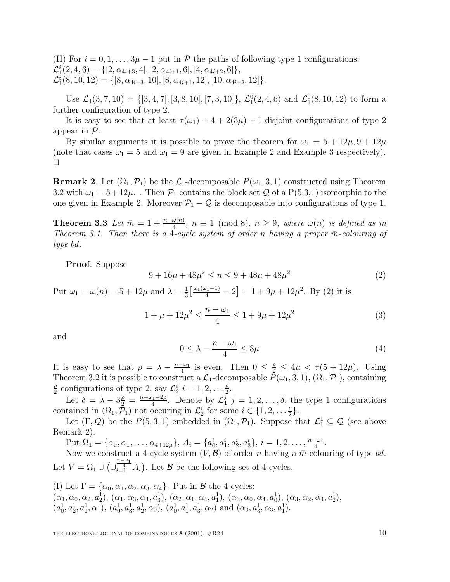(II) For  $i = 0, 1, \ldots, 3\mu - 1$  put in P the paths of following type 1 configurations:  $\mathcal{L}_1^i(2, 4, 6) = \{[2, \alpha_{4i+3}, 4], [2, \alpha_{4i+1}, 6], [4, \alpha_{4i+2}, 6]\},\$  $\mathcal{L}_1^i(8, 10, 12) = \{ [8, \alpha_{4i+3}, 10], [8, \alpha_{4i+1}, 12], [10, \alpha_{4i+2}, 12] \}.$ 

Use  $\mathcal{L}_1(3,7,10) = \{ [3,4,7], [3,8,10], [7,3,10] \}, \mathcal{L}_1^0(2,4,6) \text{ and } \mathcal{L}_1^0(8,10,12) \text{ to form a}$ further configuration of type 2.

It is easy to see that at least  $\tau(\omega_1) + 4 + 2(3\mu) + 1$  disjoint configurations of type 2 appear in P.

By similar arguments it is possible to prove the theorem for  $\omega_1 = 5 + 12\mu$ ,  $9 + 12\mu$ (note that cases  $\omega_1 = 5$  and  $\omega_1 = 9$  are given in Example 2 and Example 3 respectively).  $\Box$ 

**Remark 2**. Let  $(\Omega_1, \mathcal{P}_1)$  be the  $\mathcal{L}_1$ -decomposable  $P(\omega_1, 3, 1)$  constructed using Theorem 3.2 with  $\omega_1 = 5 + 12\mu$ . Then  $\mathcal{P}_1$  contains the block set Q of a P(5,3,1) isomorphic to the one given in Example 2. Moreover  $\mathcal{P}_1 - \mathcal{Q}$  is decomposable into configurations of type 1.

**Theorem 3.3** Let  $\bar{m} = 1 + \frac{n - \omega(n)}{4}$ ,  $n \equiv 1 \pmod{8}$ ,  $n \geq 9$ , where  $\omega(n)$  is defined as in Theorem 3.1. Then there is a 4-cycle system of order n having a proper  $\bar{m}$ -colouring of type bd.

**Proof**. Suppose

$$
9 + 16\mu + 48\mu^2 \le n \le 9 + 48\mu + 48\mu^2 \tag{2}
$$

Put  $\omega_1 = \omega(n) = 5 + 12\mu$  and  $\lambda = \frac{1}{3} \left[ \frac{\omega_1(\omega_1 - 1)}{4} - 2 \right] = 1 + 9\mu + 12\mu^2$ . By (2) it is

$$
1 + \mu + 12\mu^2 \le \frac{n - \omega_1}{4} \le 1 + 9\mu + 12\mu^2 \tag{3}
$$

and

$$
0 \le \lambda - \frac{n - \omega_1}{4} \le 8\mu \tag{4}
$$

It is easy to see that  $\rho = \lambda - \frac{n-\omega_1}{4}$  is even. Then  $0 \leq \frac{\rho}{2} \leq 4\mu < \tau(5 + 12\mu)$ . Using Theorem 3.2 it is possible to construct a  $\mathcal{L}_1$ -decomposable  $\bar{P}(\omega_1, 3, 1)$ ,  $(\Omega_1, \mathcal{P}_1)$ , containing  $\frac{\rho}{2}$  configurations of type 2, say  $\mathcal{L}_2^i$   $i = 1, 2, \dots \frac{\rho}{2}$ .

Let  $\delta = \lambda - 3\frac{\rho}{2} = \frac{n-\omega_1-2\rho}{4}$ . Denote by  $\mathcal{L}_1^j$   $j = 1, 2, ..., \delta$ , the type 1 configurations contained in  $(\Omega_1, \tilde{\mathcal{P}}_1)$  not occuring in  $\mathcal{L}_2^i$  for some  $i \in \{1, 2, \dots \frac{\rho}{2}\}.$ 

Let  $(\Gamma, \mathcal{Q})$  be the  $P(5, 3, 1)$  embedded in  $(\Omega_1, \mathcal{P}_1)$ . Suppose that  $\mathcal{L}_1^1 \subseteq \mathcal{Q}$  (see above Remark 2).

Put  $\Omega_1 = {\alpha_0, \alpha_1, \ldots, \alpha_{4+12\mu}}, A_i = {a_0^i, a_1^i, a_2^i, a_3^i}, i = 1, 2, \ldots, \frac{n-\omega_1}{4}.$ 

Now we construct a 4-cycle system  $(V, \mathcal{B})$  of order n having a  $\bar{m}$ -colouring of type bd. Let  $V = \Omega_1 \cup \left(\bigcup_{i=1}^{\frac{n-\omega_1}{4}} A_i\right)$ . Let  $\mathcal B$  be the following set of 4-cycles.

(I) Let  $\Gamma = {\alpha_0, \alpha_1, \alpha_2, \alpha_3, \alpha_4}$ . Put in  $\beta$  the 4-cycles:  $(\alpha_1, \alpha_0, \alpha_2, a_2^1), (\alpha_1, \alpha_3, \alpha_4, a_3^1), (\alpha_2, \alpha_1, \alpha_4, a_1^1), (\alpha_3, \alpha_0, \alpha_4, a_0^1), (\alpha_3, \alpha_2, \alpha_4, a_2^1),$  $(a_0^1, a_2^1, a_1^1, \alpha_1), (a_0^1, a_3^1, a_2^1, \alpha_0), (a_0^1, a_1^1, a_3^1, \alpha_2)$  and  $(\alpha_0, a_3^1, \alpha_3, a_1^1)$ .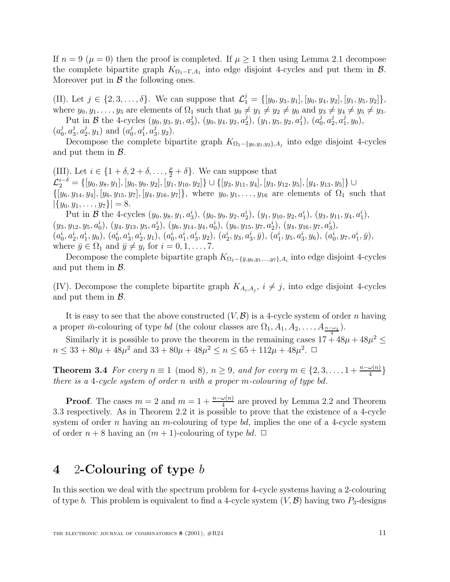If  $n = 9 (\mu = 0)$  then the proof is completed. If  $\mu \ge 1$  then using Lemma 2.1 decompose the complete bipartite graph  $K_{\Omega_1-\Gamma,A_1}$  into edge disjoint 4-cycles and put them in  $\mathcal{B}$ . Moreover put in  $\beta$  the following ones.

(II). Let  $j \in \{2, 3, ..., \delta\}$ . We can suppose that  $\mathcal{L}_1^j = \{[y_0, y_3, y_1], [y_0, y_4, y_2], [y_1, y_5, y_2]\},\$ where  $y_0, y_1, \ldots, y_5$  are elements of  $\Omega_1$  such that  $y_0 \neq y_1 \neq y_2 \neq y_0$  and  $y_3 \neq y_4 \neq y_5 \neq y_3$ .

Put in B the 4-cycles  $(y_0, y_3, y_1, a_3^j)$ ,  $(y_0, y_4, y_2, a_2^j)$ ,  $(y_1, y_5, y_2, a_1^j)$ ,  $(a_0^j, a_2^j, a_1^j, y_0)$ ,  $(a_0^j, a_3^j, a_2^j, y_1)$  and  $(a_0^j, a_1^j, a_3^j, y_2)$ .

Decompose the complete bipartite graph  $K_{\Omega_1-\{y_0,y_1,y_2\},A_j}$  into edge disjoint 4-cycles and put them in  $\mathcal{B}$ .

(III). Let  $i \in \{1 + \delta, 2 + \delta, \ldots, \frac{\rho}{2} + \delta\}$ . We can suppose that  $\mathcal{L}^{i-\delta}_2=\{[y_0,y_8,y_1],[y_0,y_9,y_2],[y_1,y_{10},y_2]\}\cup\{[y_3,y_{11},y_4],[y_3,y_{12},y_5],[y_4,y_{13},y_5]\}\cup$  $\{[y_6, y_{14}, y_4], [y_6, y_{15}, y_7], [y_4, y_{16}, y_7]\},$  where  $y_0, y_1, \ldots, y_{16}$  are elements of  $\Omega_1$  such that  $|\{y_0, y_1, \ldots, y_7\}| = 8.$ 

Put in B the 4-cycles  $(y_0, y_8, y_1, a_3^i), (y_0, y_9, y_2, a_2^i), (y_1, y_{10}, y_2, a_1^i), (y_3, y_{11}, y_4, a_1^i),$  $(y_3, y_{12}, y_5, a_0^i), (y_4, y_{13}, y_5, a_2^i), (y_6, y_{14}, y_4, a_0^i), (y_6, y_{15}, y_7, a_2^i), (y_4, y_{16}, y_7, a_3^i),$  $(a_0^i, a_2^i, a_1^i, y_0), (a_0^i, a_3^i, a_2^i, y_1), (a_0^i, a_1^i, a_3^i, y_2), (a_2^i, y_3, a_3^i, \bar{y}), (a_1^i, y_5, a_3^i, y_6), (a_0^i, y_7, a_1^i, \bar{y}),$ where  $\bar{y} \in \Omega_1$  and  $\bar{y} \neq y_i$  for  $i = 0, 1, \ldots, 7$ .

Decompose the complete bipartite graph  $K_{\Omega_1-\{\bar{y},y_0,y_1,...,y_7\},A_i}$  into edge disjoint 4-cycles and put them in  $\beta$ .

(IV). Decompose the complete bipartite graph  $K_{A_i,A_j}$ ,  $i \neq j$ , into edge disjoint 4-cycles and put them in  $\mathcal{B}$ .

It is easy to see that the above constructed  $(V, \mathcal{B})$  is a 4-cycle system of order n having a proper  $\bar{m}$ -colouring of type bd (the colour classes are  $\Omega_1, A_1, A_2, \ldots, A_{\frac{n-\omega_1}{4}}$ ).

Similarly it is possible to prove the theorem in the remaining cases  $17 + 48\mu + 48\mu^2 \le$  $n \leq 33 + 80\mu + 48\mu^2$  and  $33 + 80\mu + 48\mu^2 \leq n \leq 65 + 112\mu + 48\mu^2$ .  $\Box$ 

**Theorem 3.4** For every  $n \equiv 1 \pmod{8}$ ,  $n \ge 9$ , and for every  $m \in \{2, 3, ..., 1 + \frac{n - \omega(n)}{4}\}\$ there is a 4-cycle system of order n with a proper m-colouring of type bd.

**Proof**. The cases  $m = 2$  and  $m = 1 + \frac{n - \omega(n)}{4}$  are proved by Lemma 2.2 and Theorem 3.3 respectively. As in Theorem 2.2 it is possible to prove that the existence of a 4-cycle system of order n having an m-colouring of type bd, implies the one of a 4-cycle system of order  $n + 8$  having an  $(m + 1)$ -colouring of type bd.  $\Box$ 

### **4** 2**-Colouring of type** b

In this section we deal with the spectrum problem for 4-cycle systems having a 2-colouring of type b. This problem is equivalent to find a 4-cycle system  $(V, \mathcal{B})$  having two  $P_3$ -designs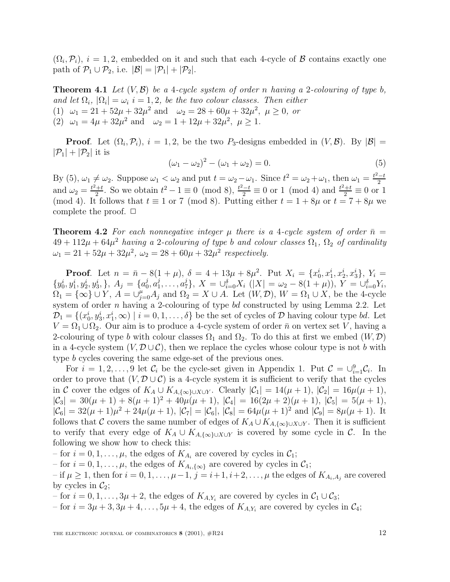$(\Omega_i, \mathcal{P}_i), i = 1, 2$ , embedded on it and such that each 4-cycle of B contains exactly one path of  $\mathcal{P}_1 \cup \mathcal{P}_2$ , i.e.  $|\mathcal{B}| = |\mathcal{P}_1| + |\mathcal{P}_2|$ .

**Theorem 4.1** Let  $(V, \mathcal{B})$  be a 4-cycle system of order n having a 2-colouring of type b, and let  $\Omega_i$ ,  $|\Omega_i| = \omega_i$  i = 1, 2, be the two colour classes. Then either (1)  $\omega_1 = 21 + 52\mu + 32\mu^2$  and  $\omega_2 = 28 + 60\mu + 32\mu^2$ ,  $\mu \ge 0$ , or (2)  $\omega_1 = 4\mu + 32\mu^2$  and  $\omega_2 = 1 + 12\mu + 32\mu^2$ ,  $\mu > 1$ .

**Proof**. Let  $(\Omega_i, \mathcal{P}_i)$ ,  $i = 1, 2$ , be the two  $P_3$ -designs embedded in  $(V, \mathcal{B})$ . By  $|\mathcal{B}| =$  $|\mathcal{P}_1| + |\mathcal{P}_2|$  it is

$$
(\omega_1 - \omega_2)^2 - (\omega_1 + \omega_2) = 0.
$$
 (5)

By (5),  $\omega_1 \neq \omega_2$ . Suppose  $\omega_1 < \omega_2$  and put  $t = \omega_2 - \omega_1$ . Since  $t^2 = \omega_2 + \omega_1$ , then  $\omega_1 = \frac{t^2 - t}{2}$ and  $\omega_2 = \frac{t^2 + t}{2}$ . So we obtain  $t^2 - 1 \equiv 0 \pmod{8}$ ,  $\frac{t^2 - t}{2} \equiv 0$  or 1 (mod 4) and  $\frac{t^2 + t}{2} \equiv 0$  or 1 (mod 4). It follows that  $t \equiv 1$  or 7 (mod 8). Putting either  $t = 1 + 8\mu$  or  $t = 7 + 8\mu$  we complete the proof.  $\Box$ 

**Theorem 4.2** For each nonnegative integer  $\mu$  there is a 4-cycle system of order  $\bar{n} =$  $49 + 112\mu + 64\mu^2$  having a 2-colouring of type b and colour classes  $\Omega_1$ ,  $\Omega_2$  of cardinality  $\omega_1 = 21 + 52\mu + 32\mu^2$ ,  $\omega_2 = 28 + 60\mu + 32\mu^2$  respectively.

**Proof**. Let  $n = \bar{n} - 8(1 + \mu)$ ,  $\delta = 4 + 13\mu + 8\mu^2$ . Put  $X_i = \{x_0^i, x_1^i, x_2^i, x_3^i\}$ ,  $Y_i =$  $\{y_0^i, y_1^i, y_2^i, y_3^i, \}, A_j = \{a_0^j, a_1^j, \ldots, a_7^j\}, X = \bigcup_{i=0}^{\delta} X_i \ (|X| = \omega_2 - 8(1 + \mu)), Y = \bigcup_{i=0}^{\delta} Y_i,$  $\Omega_1 = {\infty} \cup Y$ ,  $A = \cup_{j=0}^{\mu} A_j$  and  $\Omega_2 = X \cup A$ . Let  $(W, \mathcal{D})$ ,  $W = \Omega_1 \cup X$ , be the 4-cycle system of order *n* having a 2-colouring of type bd constructed by using Lemma 2.2. Let  $\mathcal{D}_1 = \{(x_0^i, y_3^i, x_1^i, \infty) \mid i = 0, 1, \ldots, \delta\}$  be the set of cycles of  $\mathcal{D}$  having colour type bd. Let  $V = \Omega_1 \cup \Omega_2$ . Our aim is to produce a 4-cycle system of order  $\bar{n}$  on vertex set V, having a 2-colouring of type b with colour classes  $\Omega_1$  and  $\Omega_2$ . To do this at first we embed  $(W, \mathcal{D})$ in a 4-cycle system  $(V, \mathcal{D} \cup \mathcal{C})$ , then we replace the cycles whose colour type is not b with type b cycles covering the same edge-set of the previous ones.

For  $i = 1, 2, ..., 9$  let  $\mathcal{C}_i$  be the cycle-set given in Appendix 1. Put  $\mathcal{C} = \bigcup_{i=1}^9 \mathcal{C}_i$ . In order to prove that  $(V, \mathcal{D} \cup \mathcal{C})$  is a 4-cycle system it is sufficient to verify that the cycles in C cover the edges of  $K_A \cup K_{A,\{\infty\}\cup X\cup Y}$ . Clearly  $|\mathcal{C}_1| = 14(\mu+1), |\mathcal{C}_2| = 16\mu(\mu+1),$  $|\mathcal{C}_3| = 30(\mu + 1) + 8(\mu + 1)^2 + 40\mu(\mu + 1), |\mathcal{C}_4| = 16(2\mu + 2)(\mu + 1), |\mathcal{C}_5| = 5(\mu + 1),$  $|\mathcal{C}_6| = 32(\mu + 1)\mu^2 + 24\mu(\mu + 1), |\mathcal{C}_7| = |\mathcal{C}_6|, |\mathcal{C}_8| = 64\mu(\mu + 1)^2$  and  $|\mathcal{C}_9| = 8\mu(\mu + 1)$ . It follows that C covers the same number of edges of  $K_A \cup K_{A,\{\infty\}\cup X\cup Y}$ . Then it is sufficient to verify that every edge of  $K_A \cup K_{A,\{\infty\}\cup X\cup Y}$  is covered by some cycle in C. In the following we show how to check this:

– for  $i = 0, 1, \ldots, \mu$ , the edges of  $K_{A_i}$  are covered by cycles in  $\mathcal{C}_1$ ;

– for  $i = 0, 1, \ldots, \mu$ , the edges of  $K_{A_i, {\{\infty\}}}$  are covered by cycles in  $\mathcal{C}_1$ ;

– if  $\mu \geq 1$ , then for  $i = 0, 1, \ldots, \mu - 1$ ,  $j = i + 1, i + 2, \ldots, \mu$  the edges of  $K_{A_i, A_j}$  are covered by cycles in  $\mathcal{C}_2$ ;

– for  $i = 0, 1, \ldots, 3\mu + 2$ , the edges of  $K_{A,Y_i}$  are covered by cycles in  $C_1 \cup C_3$ ;

– for  $i = 3\mu + 3$ ,  $3\mu + 4$ ,  $\dots$ ,  $5\mu + 4$ , the edges of  $K_{A,Y_i}$  are covered by cycles in  $\mathcal{C}_4$ ;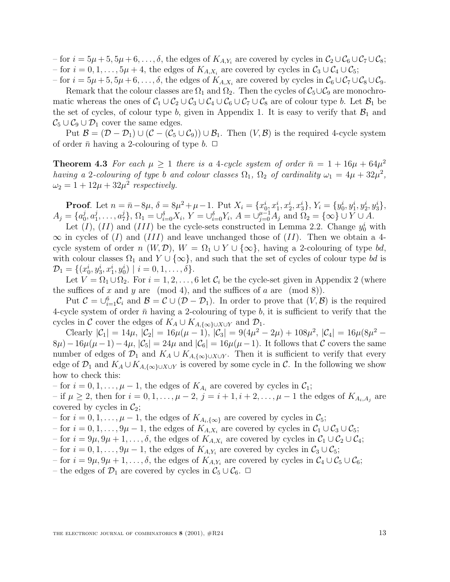– for  $i = 5\mu + 5, 5\mu + 6, \ldots, \delta$ , the edges of  $K_{A,Y_i}$  are covered by cycles in  $C_2 \cup C_6 \cup C_7 \cup C_8$ ; – for  $i = 0, 1, \ldots, 5\mu + 4$ , the edges of  $K_{A,X_i}$  are covered by cycles in  $C_3 \cup C_4 \cup C_5$ ;

– for  $i = 5\mu + 5, 5\mu + 6, \ldots, \delta$ , the edges of  $K_{A,X_i}$  are covered by cycles in  $C_6 \cup C_7 \cup C_8 \cup C_9$ . Remark that the colour classes are  $\Omega_1$  and  $\Omega_2$ . Then the cycles of  $C_5 \cup C_9$  are monochromatic whereas the ones of  $C_1 \cup C_2 \cup C_3 \cup C_4 \cup C_6 \cup C_7 \cup C_8$  are of colour type b. Let  $\mathcal{B}_1$  be the set of cycles, of colour type b, given in Appendix 1. It is easy to verify that  $\mathcal{B}_1$  and  $\mathcal{C}_5 \cup \mathcal{C}_9 \cup \mathcal{D}_1$  cover the same edges.

Put  $\mathcal{B} = (\mathcal{D} - \mathcal{D}_1) \cup (\mathcal{C} - (\mathcal{C}_5 \cup \mathcal{C}_9)) \cup \mathcal{B}_1$ . Then  $(V, \mathcal{B})$  is the required 4-cycle system of order  $\bar{n}$  having a 2-colouring of type b.  $\Box$ 

**Theorem 4.3** For each  $\mu \geq 1$  there is a 4-cycle system of order  $\bar{n} = 1 + 16\mu + 64\mu^2$ having a 2-colouring of type b and colour classes  $\Omega_1$ ,  $\Omega_2$  of cardinality  $\omega_1 = 4\mu + 32\mu^2$ ,  $\omega_2 = 1 + 12\mu + 32\mu^2$  respectively.

**Proof**. Let  $n = \bar{n} - 8\mu$ ,  $\delta = 8\mu^2 + \mu - 1$ . Put  $X_i = \{x_0^i, x_1^i, x_2^i, x_3^i\}$ ,  $Y_i = \{y_0^i, y_1^i, y_2^i, y_3^i\}$ ,  $A_j = \{a_0^j, a_1^j, \ldots, a_7^j\}, \Omega_1 = \bigcup_{i=0}^{\delta} X_i, Y = \bigcup_{i=0}^{\delta} Y_i, A = \bigcup_{j=0}^{\mu-1} A_j \text{ and } \Omega_2 = \{\infty\} \cup Y \cup A.$ 

Let  $(I)$ ,  $(II)$  and  $(III)$  be the cycle-sets constructed in Lemma 2.2. Change  $y_0^i$  with  $\infty$  in cycles of (I) and (III) and leave unchanged those of (II). Then we obtain a 4cycle system of order n  $(W, \mathcal{D})$ ,  $W = \Omega_1 \cup Y \cup \{\infty\}$ , having a 2-colouring of type bd, with colour classes  $\Omega_1$  and  $Y \cup {\infty}$ , and such that the set of cycles of colour type bd is  $\mathcal{D}_1 = \{ (x_0^i, y_3^i, x_1^i, y_0^i) \mid i = 0, 1, \ldots, \delta \}.$ 

Let  $V = \Omega_1 \cup \Omega_2$ . For  $i = 1, 2, ..., 6$  let  $C_i$  be the cycle-set given in Appendix 2 (where the suffices of x and y are (mod 4), and the suffices of a are (mod 8)).

Put  $C = \bigcup_{i=1}^{6} C_i$  and  $\mathcal{B} = C \cup (\mathcal{D} - \mathcal{D}_1)$ . In order to prove that  $(V, \mathcal{B})$  is the required 4-cycle system of order  $\bar{n}$  having a 2-colouring of type b, it is sufficient to verify that the cycles in C cover the edges of  $K_A \cup K_{A,\{\infty\}\cup X\cup Y}$  and  $\mathcal{D}_1$ .

Clearly  $|\mathcal{C}_1| = 14\mu, |\mathcal{C}_2| = 16\mu(\mu - 1), |\mathcal{C}_3| = 9(4\mu^2 - 2\mu) + 108\mu^2, |\mathcal{C}_4| = 16\mu(8\mu^2 8\mu$ ) − 16 $\mu(\mu-1)-4\mu$ ,  $|\mathcal{C}_5|=24\mu$  and  $|\mathcal{C}_6|=16\mu(\mu-1)$ . It follows that C covers the same number of edges of  $\mathcal{D}_1$  and  $K_A \cup K_{A,\{\infty\}\cup X\cup Y}$ . Then it is sufficient to verify that every edge of  $\mathcal{D}_1$  and  $K_A \cup K_{A,\{\infty\}\cup X\cup Y}$  is covered by some cycle in C. In the following we show how to check this:

– for  $i = 0, 1, \ldots, \mu - 1$ , the edges of  $K_{A_i}$  are covered by cycles in  $\mathcal{C}_1$ ;

– if  $\mu \geq 2$ , then for  $i = 0, 1, \ldots, \mu - 2$ ,  $j = i + 1, i + 2, \ldots, \mu - 1$  the edges of  $K_{A_i, A_j}$  are covered by cycles in  $\mathcal{C}_2$ ;

– for  $i = 0, 1, \ldots, \mu - 1$ , the edges of  $K_{A_i, {\{\infty\}}}$  are covered by cycles in  $\mathcal{C}_5$ ;

– for  $i = 0, 1, \ldots, 9\mu - 1$ , the edges of  $K_{A,X_i}$  are covered by cycles in  $C_1 \cup C_3 \cup C_5$ ;

– for  $i = 9\mu, 9\mu + 1, \ldots, \delta$ , the edges of  $K_{A,X_i}$  are covered by cycles in  $\mathcal{C}_1 \cup \mathcal{C}_2 \cup \mathcal{C}_4$ ;

– for  $i = 0, 1, \ldots, 9\mu - 1$ , the edges of  $K_{A,Y_i}$  are covered by cycles in  $C_3 \cup C_5$ ;

– for  $i = 9\mu, 9\mu + 1, \ldots, \delta$ , the edges of  $K_{A,Y_i}$  are covered by cycles in  $C_4 \cup C_5 \cup C_6$ ;

– the edges of  $\mathcal{D}_1$  are covered by cycles in  $\mathcal{C}_5 \cup \mathcal{C}_6$ .  $\Box$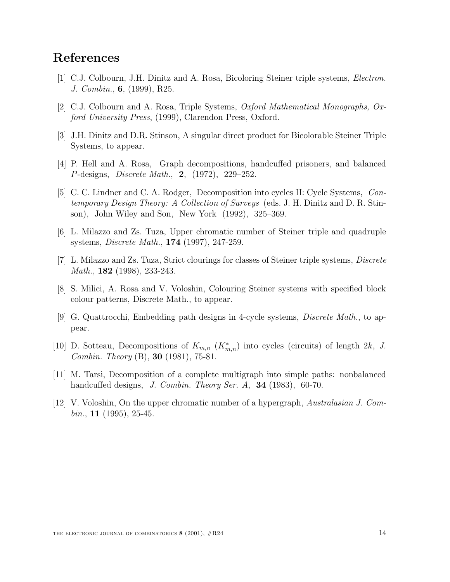## **References**

- [1] C.J. Colbourn, J.H. Dinitz and A. Rosa, Bicoloring Steiner triple systems, Electron. J. Combin., **6**, (1999), R25.
- [2] C.J. Colbourn and A. Rosa, Triple Systems, Oxford Mathematical Monographs, Oxford University Press, (1999), Clarendon Press, Oxford.
- [3] J.H. Dinitz and D.R. Stinson, A singular direct product for Bicolorable Steiner Triple Systems, to appear.
- [4] P. Hell and A. Rosa, Graph decompositions, handcuffed prisoners, and balanced P-designs, Discrete Math., **2**, (1972), 229–252.
- [5] C. C. Lindner and C. A. Rodger, Decomposition into cycles II: Cycle Systems, Contemporary Design Theory: A Collection of Surveys (eds. J. H. Dinitz and D. R. Stinson), John Wiley and Son, New York (1992), 325–369.
- [6] L. Milazzo and Zs. Tuza, Upper chromatic number of Steiner triple and quadruple systems, Discrete Math., **174** (1997), 247-259.
- [7] L. Milazzo and Zs. Tuza, Strict clourings for classes of Steiner triple systems, Discrete Math., **182** (1998), 233-243.
- [8] S. Milici, A. Rosa and V. Voloshin, Colouring Steiner systems with specified block colour patterns, Discrete Math., to appear.
- [9] G. Quattrocchi, Embedding path designs in 4-cycle systems, *Discrete Math.*, to appear.
- [10] D. Sotteau, Decompositions of  $K_{m,n}$  ( $K_{m,n}^*$ ) into cycles (circuits) of length 2k, J. Combin. Theory (B), **30** (1981), 75-81.
- [11] M. Tarsi, Decomposition of a complete multigraph into simple paths: nonbalanced handcuffed designs, J. Combin. Theory Ser. A, **34** (1983), 60-70.
- $[12]$  V. Voloshin, On the upper chromatic number of a hypergraph, Australasian J. Combin., **11** (1995), 25-45.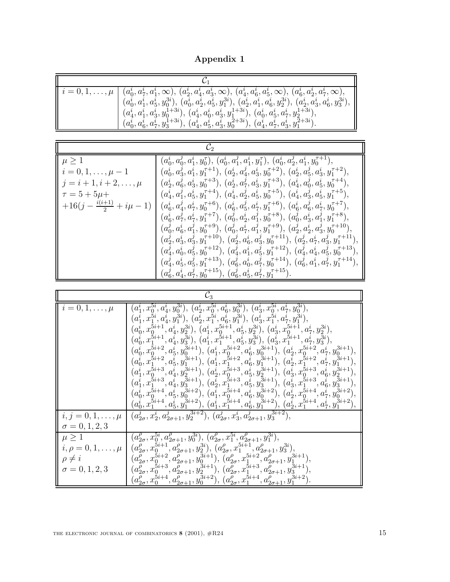**Appendix 1**

| $i = 0, 1, \ldots, \mu$ | $(a_0^1, a_1^2, a_1^1, \infty), (a_2^1, a_4^1, a_3^1, \infty), (a_4^1, a_6^1, a_5^1, \infty), (a_6^1, a_2^1, a_7^1, \infty),$<br>$(a_0^i, a_1^i, a_5^i, y_0^{3i}), (a_0^i, a_2^i, a_5^i, y_1^{3i}), (a_2^i, a_1^i, a_6^i, y_2^{3i}), (a_2^i, a_3^i, a_6^i, y_3^{3i}),$<br>$(a_4^i, a_1^i, a_3^i, y_0^{1+3i}), (a_4^i, a_0^i, a_3^i, y_1^{1+3i}), (a_0^i, a_5^i, a_7^i, y_2^{1+3i}),$<br>$(a_0^i, a_6^i, a_7^i, y_3^{1+3i}), (a_4^i, a_5^i, a_3^i, y_0^{2+3i}), (a_4^i, a_7^i, a_3^i, y_1^{2+3i}).$ |
|-------------------------|----------------------------------------------------------------------------------------------------------------------------------------------------------------------------------------------------------------------------------------------------------------------------------------------------------------------------------------------------------------------------------------------------------------------------------------------------------------------------------------------------|

| $\mu > 1$                        | $(a_0^i, a_0^j, a_1^i, y_0^\tau),\, (a_0^i, a_1^j, a_1^i, y_1^\tau),\, (a_0^i, a_2^j, a_1^i, y_0^{\tau+1}),$                                         |  |
|----------------------------------|------------------------------------------------------------------------------------------------------------------------------------------------------|--|
| $i = 0, 1, \ldots, \mu - 1$      | $(a_0^i, a_3^j, a_1^i, y_1^{\tau+1}), (a_2^i, a_4^j, a_3^i, y_0^{\tau+2}), (a_2^i, a_5^j, a_3^i, y_1^{\tau+2}),$                                     |  |
| $j = i + 1, i + 2, \ldots, \mu$  | $(a_2^i, a_6^j, a_3^i, y_0^{\tau+3}), (a_2^i, a_7^j, a_3^i, y_1^{\tau+3}), (a_4^i, a_0^j, a_5^i, y_0^{\tau+4}),$                                     |  |
| $\tau = 5 + 5\mu +$              | $(a^i_4,a^j_1,a^i_5,y_1^{\tau+4}),\, (a^i_4,a^j_2,a^i_5,y_0^{\tau+5}),\, (a^i_4,a^j_3,a^i_5,y_1^{\tau+5}),$                                          |  |
| $+16(j-\frac{i(i+1)}{2}+i\mu-1)$ | $(a_6^i, a_4^j, a_7^i, y_0^{\tau+6}), (a_6^i, a_5^j, a_7^i, y_1^{\tau+6}), (a_6^i, a_6^j, a_7^i, y_0^{\tau+7}),$                                     |  |
|                                  | $(a^i_6,a^j_7,a^i_7,y^{ \tau+7}_1),\, (a^j_0,a^i_2,a^j_1,y^{ \tau+8}_0),\,(a^j_0,a^i_3,a^j_1,y^{ \tau+8}_1),$                                        |  |
|                                  | $(a_0^{\jmath},a_6^i,a_1^{\jmath},y_0^{\tau+9}),\,(a_0^{\jmath},a_7^i,a_1^{\jmath},y_1^{\tau+9}),\,(a_2^{\jmath},a_2^i,a_3^{\jmath},y_0^{\tau+10}),$ |  |
|                                  | $(a^j_2,a^i_3,a^j_3,y_1^{\tau+10}),\, (a^j_2,a^i_6,a^j_3,y_0^{\tau+11}),\,(a^j_2,a^i_7,a^j_3,y_1^{\tau+11}),$                                        |  |
|                                  | $(a_4^j, a_0^i, a_5^j, y_0^{\tau+12}), (a_4^j, a_1^i, a_5^j, y_1^{\tau+12}), (a_4^j, a_4^i, a_5^j, y_0^{\tau+13}),$                                  |  |
|                                  | $(a_4^j, a_5^i, a_5^j, y_1^{\tau+13}), (a_6^j, a_0^i, a_7^j, y_0^{\tau+14}), (a_6^j, a_1^i, a_7^j, y_1^{\tau+14}),$                                  |  |
|                                  | $(a_6^j, a_4^i, a_7^j, y_0^{\tau+15}), (a_6^j, a_5^i, a_7^j, y_1^{\tau+15}).$                                                                        |  |

| $\mathcal{C}_3$                                                                                     |                                                                                                                                                                                                                                                                                                                                                                                                                                                                                                                                                                                                                                                                                                                                                                                                                                                                                                                                                                                                                                                                                                                                                                                                                            |
|-----------------------------------------------------------------------------------------------------|----------------------------------------------------------------------------------------------------------------------------------------------------------------------------------------------------------------------------------------------------------------------------------------------------------------------------------------------------------------------------------------------------------------------------------------------------------------------------------------------------------------------------------------------------------------------------------------------------------------------------------------------------------------------------------------------------------------------------------------------------------------------------------------------------------------------------------------------------------------------------------------------------------------------------------------------------------------------------------------------------------------------------------------------------------------------------------------------------------------------------------------------------------------------------------------------------------------------------|
| $\lceil i = 0, 1, \ldots, \mu \rceil$                                                               | $(a_1^i,x_0^{5i},a_4^i,y_0^{3i}),\,(a_2^i,x_0^{5i},a_6^i,y_0^{3i}),\,(a_3^i,x_0^{5i},a_7^i,y_0^{3i}),$<br>$(a_1^i,x_1^{5i},a_4^i,y_1^{3i}),\,(a_2^i,x_1^{5i},a_6^i,y_1^{3i}),\,(a_3^i,x_1^{5i},a_7^i,y_1^{3i}),$<br>$(a_0^i, x_0^{5i+1}, a_4^i, y_2^{3i}), (a_1^i, x_0^{5i+1}, a_5^i, y_2^{3i}), (a_3^i, x_0^{5i+1}, a_7^i, y_2^{3i}),$<br>$(a_0^i, x_1^{5i+1}, a_4^i, y_3^{3i}), (a_1^i, x_1^{5i+1}, a_5^i, y_3^{3i}), (a_3^i, x_1^{5i+1}, a_7^i, y_3^{3i}),$<br>$(a_0^i,x_0^{\bar{5}i+2},a_5^i,y_0^{3i+1}),\ (a_1^i,x_0^{5i+2},a_6^i,y_0^{3i+1}),\ (a_2^i,x_0^{5i+2},a_7^i,y_0^{3i+1}),$<br>$(a_0^i,x_1^{\tilde{5}i+2},a_5^{\tilde{i}},y_1^{\tilde{3}i+1}),\ (a_1^i,x_1^{5i+2},a_6^i,y_1^{3i+1}),\ (a_2^i,x_1^{5i+2},a_7^i,y_1^{3i+1}),$<br>$(a_1^i,x_0^{5i+3},a_4^i,y_2^{3i+1}),\, (a_2^i,x_0^{5i+3},a_5^i,y_2^{3i+1}),\,(a_3^i,x_0^{5i+3},a_6^i,y_2^{3i+1}),$<br>$\big(a_1^{\bar{i}},x_1^{\bar{5}i+3},a_4^{\bar{i}},y_3^{\bar{3}i+1}\big),\,\big(a_2^{\bar{i}},x_1^{\bar{5}i+3},a_5^{\bar{i}},y_3^{\bar{3}i+1}\big),\,\big(a_3^{\bar{i}},x_1^{\bar{5}i+3},a_6^{\bar{i}},y_3^{3i+1}\big),$<br>$(a_0^i, x_0^{5i+4}, a_5^i, y_0^{3i+2}), (a_1^i, x_0^{5i+4}, a_6^i, y_0^{3i+2}), (a_2^i, x_0^{5i+4}, a_7^i, y_0^{3i+2}),$ |
|                                                                                                     | $(a_0^i,x_1^{\bar{5}i+4},a_5^i,y_1^{\bar{3}i+2}),\,(a_1^{\bar{i}},x_1^{\bar{5}i+4},a_6^i,y_1^{\bar{3}i+2}),\,(a_2^i,x_1^{\bar{5}i+4},a_7^i,y_1^{\bar{3}i+2}),$                                                                                                                                                                                                                                                                                                                                                                                                                                                                                                                                                                                                                                                                                                                                                                                                                                                                                                                                                                                                                                                             |
| $i, j = 0, 1, \ldots, \mu$<br>$\sigma = 0, 1, 2, 3$                                                 | $\overline{(a_{2\sigma}^j, x_2^i, a_{2\sigma+1}^j, y_2^{3i+2})}, (a_{2\sigma}^j, x_3^i, a_{2\sigma+1}^j, y_3^{3i+2}),$                                                                                                                                                                                                                                                                                                                                                                                                                                                                                                                                                                                                                                                                                                                                                                                                                                                                                                                                                                                                                                                                                                     |
| $\mu > 1$<br>$\mid i, \rho = 0, 1, \ldots, \mu$<br>$\parallel \rho \neq i$<br>$\sigma = 0, 1, 2, 3$ | $(a_{2\sigma}^{\rho}, x_0^{5i}, a_{2\sigma+1}^{\rho}, y_0^{3i}), (a_{2\sigma}^{\rho}, x_1^{5i}, a_{2\sigma+1}^{\rho}, y_1^{3i}),$<br>$(a_{2\sigma}^{\rho}, x_0^{5i+1}, a_{2\sigma+1}^{\rho}, y_2^{3i}), (a_{2\sigma}^{\rho}, x_1^{5i+1}, a_{2\sigma+1}^{\rho}, y_3^{3i}),$<br>$(a_{2\sigma}^{\rho},x_0^{5i+2},a_{2\sigma+1}^{\rho},y_0^{3i+1}),\ (a_{2\sigma}^{\rho},x_1^{5i+2},a_{2\sigma+1}^{\rho},y_1^{3i+1}),$<br>$(a_{2\sigma}^{\rho},x_{0}^{5i+3},a_{2\sigma+1}^{\rho},y_{2}^{3i+1}),\,(a_{2\sigma}^{\rho},x_{1}^{5i+3},a_{2\sigma+1}^{\rho},y_{3}^{3i+1}),$<br>$(a_{2\sigma}^{\rho}, x_0^{5i+4}, a_{2\sigma+1}^{\rho}, y_0^{3i+2}), (a_{2\sigma}^{\rho}, x_1^{5i+4}, a_{2\sigma+1}^{\rho}, y_1^{3i+2}).$                                                                                                                                                                                                                                                                                                                                                                                                                                                                                                            |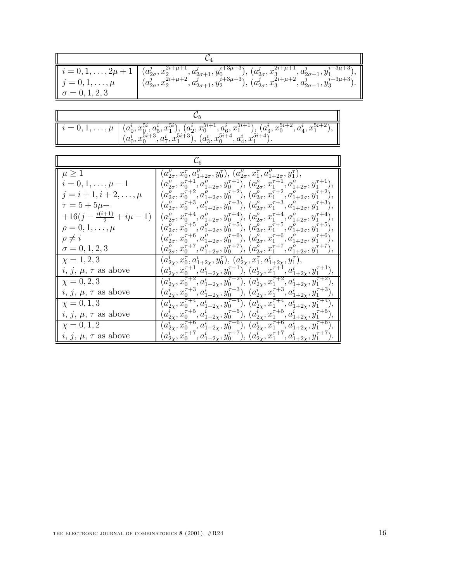| $\parallel j=0,1,\ldots,\mu$<br>$\sigma = 0, 1, 2, 3$ | $i = 0, 1, , 2\mu + 1$ $(a_{2\sigma}^j, x_2^{2i+\mu+1}, a_{2\sigma+1}^j, y_0^{i+3\mu+3}), (a_{2\sigma}^j, x_3^{2i+\mu+1}, a_{2\sigma+1}^j, y_1^{i+3\mu+3}),$<br>$j = 0, 1, , \mu$ $(a_{2\sigma}^j, x_2^{2i+\mu+2}, a_{2\sigma+1}^j, y_2^{i+3\mu+3}), (a_{2\sigma}^j, x_3^{2i+\mu+2}, a_{2\sigma+1}^j, y_3^{i+3\mu+3}).$ |
|-------------------------------------------------------|-------------------------------------------------------------------------------------------------------------------------------------------------------------------------------------------------------------------------------------------------------------------------------------------------------------------------|

|  | $\left[ i = 0, 1, \ldots, \mu \right] \, \left. \left. \begin{array}{l} (a_0^i, x_0^{5i}, a_5^i, x_1^{5i}), \, (a_2^i, x_0^{5i+1}, a_6^i, x_1^{5i+1}), \, (a_3^i, x_0^{5i+2}, a_4^i, x_1^{5i+2}), \, \\ (a_0^i, x_0^{5i+3}, a_7^i, x_1^{5i+3}), \, (a_3^i, x_0^{5i+4}, a_4^i, x_1^{5i+4}). \end{array} \right] \, .$ |  |
|--|----------------------------------------------------------------------------------------------------------------------------------------------------------------------------------------------------------------------------------------------------------------------------------------------------------------------|--|

| $\mu \geq 1$                     | $(a_{2\sigma}^{\nu}, x_0^{\tau}, a_{1+2\sigma}^{\nu}, y_0^{\tau}), (a_{2\sigma}^{\nu}, x_1^{\tau}, a_{1+2\sigma}^{\rho}, y_1^{\tau}),$                                                                                                                                                                                                                                                                             |
|----------------------------------|--------------------------------------------------------------------------------------------------------------------------------------------------------------------------------------------------------------------------------------------------------------------------------------------------------------------------------------------------------------------------------------------------------------------|
| $i = 0, 1, \ldots, \mu - 1$      | $(a_{2\sigma}^{\rho}, x_0^{\tau+1}, a_{1+2\sigma}^{\rho}, y_0^{\tau+1}), (a_{2\sigma}^{\rho}, x_1^{\tau+1}, a_{1+2\sigma}^{\rho}, y_1^{\tau+1}),$                                                                                                                                                                                                                                                                  |
| $j = i + 1, i + 2, \ldots, \mu$  | $(a_{2\sigma}^{\rho}, x_0^{\tau+2}, a_{1+2\sigma}^{\rho}, y_0^{\tau+2}), (a_{2\sigma}^{\rho}, x_1^{\tau+2}, a_{1+2\sigma}^{\rho}, y_1^{\tau+2}),$                                                                                                                                                                                                                                                                  |
| $\tau = 5 + 5\mu +$              | $(a_{2\sigma}^{\rho}, x_0^{\tau+3}, a_{1+2\sigma}^{\rho}, y_0^{\tau+3}), (a_{2\sigma}^{\rho}, x_1^{\tau+3}, a_{1+2\sigma}^{\rho}, y_1^{\tau+3}),$                                                                                                                                                                                                                                                                  |
| $+16(j-\frac{i(i+1)}{2}+i\mu-1)$ | $(a_{2\sigma}^{\rho}, x_0^{\tau+4}, a_{1+2\sigma}^{\rho}, y_0^{\tau+4}), (a_{2\sigma}^{\rho}, x_1^{\tau+4}, a_{1+2\sigma}^{\rho}, y_1^{\tau+4}),$                                                                                                                                                                                                                                                                  |
| $\rho=0,1,\ldots,\mu$            | $(a_{2\sigma}^{\rho}, x_0^{\tau+5}, a_{1+2\sigma}^{\rho}, y_0^{\tau+5}), (a_{2\sigma}^{\rho}, x_1^{\tau+5}, a_{1+2\sigma}^{\rho}, y_1^{\tau+5}),$                                                                                                                                                                                                                                                                  |
| $\rho \neq i$                    | $(a_{2\sigma}^{\rho}, x_0^{\tau+6}, a_{1+2\sigma}^{\rho}, y_0^{\tau+6}), (a_{2\sigma}^{\rho}, x_1^{\tau+6}, a_{1+2\sigma}^{\rho}, y_1^{\tau+6}),$                                                                                                                                                                                                                                                                  |
| $\sigma = 0, 1, 2, 3$            | $(a_{2\sigma}^{\rho}, x_0^{\tau+\gamma}, a_{1+2\sigma}^{\rho}, y_0^{\tau+\gamma}), (a_{2\sigma}^{\rho}, x_1^{\tau+\gamma}, a_{1+2\sigma}^{\rho}, y_1^{\tau+\gamma}),$                                                                                                                                                                                                                                              |
| $\chi = 1, 2, 3$                 | $(a_{2\chi}^i,x_0^\tau,a_{1+2\chi}^i,y_0^\tau),\,(a_{2\chi}^i,x_1^\tau,a_{1+2\chi}^i,y_1^\tau),$                                                                                                                                                                                                                                                                                                                   |
| $i, j, \mu, \tau$ as above       | $(a_{2\chi}^i,x_0^{\tau+1},a_{1+2\chi}^i,y_0^{\tau+1}),\,(a_{2\chi}^i,x_1^{\tau+1},a_{1+2\chi}^i,y_1^{\tau+1}),$                                                                                                                                                                                                                                                                                                   |
| $\chi = 0, 2, 3$                 | $(a_{2\chi}^i,x_0^{\tau+2},a_{1+2\chi}^i,y_0^{\tau+2}),\,(a_{2\chi}^i,x_1^{\tau+2},a_{1+2\chi}^i,y_1^{\tau+2}),$                                                                                                                                                                                                                                                                                                   |
| $i, j, \mu, \tau$ as above       | $(\underline{a}^i_{2\chi},\overline{x_0}^{\tau+3},\overline{a}^i_{1+2\chi},\overline{y_0}^{\tau+3}),\,(\overline{a}^i_{2\chi},\overline{x_1}^{\tau+3},\overline{a}^i_{1+2\chi},\overline{y_1}^{\tau+3}),$                                                                                                                                                                                                          |
| $\chi = 0, 1, 3$                 |                                                                                                                                                                                                                                                                                                                                                                                                                    |
| $i, j, \mu, \tau$ as above       | $\begin{array}{l} \hline (a_{2\chi}^{\overline{i}},x_0^{\overline{r}+4},a_{1+2\chi}^{\overline{i}+2},y_0^{\overline{r}+4}), \ (a_{2\chi}^{\overline{i}},x_1^{\overline{r}+4},a_{1+2\chi}^{\overline{i}+2x},y_1^{\overline{r}+4}),\ (a_{2\chi}^{\overline{i}},x_0^{\overline{r}+5},a_{1+2\chi}^{\overline{i}},y_1^{\overline{r}+5}), \ (a_{2\chi}^{\overline{i}},x_1^{\overline{r}+5},a_{1+2\chi}^{\overline{i}},y$ |
| $\chi = 0, 1, 2$                 | $\overline{(a_{2x}^i, x_0^{\tau+6}, a_{1+2x}^i, y_0^{\tau+6}), (a_{2x}^i, x_1^{\tau+6}, a_{1+2x}^i, y_1^{\tau+6})},$                                                                                                                                                                                                                                                                                               |
| $i, j, \mu, \tau$ as above       | $(a_{2\chi}^i,x_0^{\tau+7},a_{1+2\chi}^i,y_0^{\tau+7}),\,(a_{2\chi}^i,x_1^{\tau+7},a_{1+2\chi}^i,y_1^{\tau+7}).$                                                                                                                                                                                                                                                                                                   |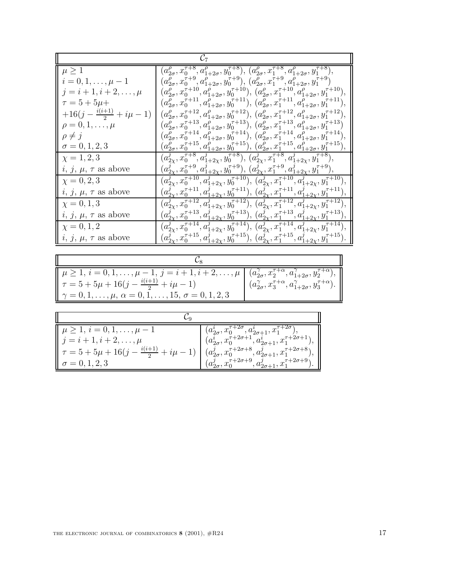| $\mu \geq 1$                     | $(a_{2\sigma}^{\rho}, x_0^{\tau+8}, a_{1+2\sigma}^{\rho}, y_0^{\tau+8}), (a_{2\sigma}^{\rho}, x_1^{\tau+8}, a_{1+2\sigma}^{\overline{\rho}}, y_1^{\tau+8}),$                                                                                                                              |  |
|----------------------------------|-------------------------------------------------------------------------------------------------------------------------------------------------------------------------------------------------------------------------------------------------------------------------------------------|--|
| $i = 0, 1, \ldots, \mu - 1$      | $(a_{2\sigma}^\rho,x_0^{\tau+9},a_{1+2\sigma}^\rho,y_0^{\tau+9}),\,(a_{2\sigma}^\rho,x_1^{\tau+9},a_{1+2\sigma}^\rho,y_1^{\tau+9})$                                                                                                                                                       |  |
| $j = i + 1, i + 2, \ldots, \mu$  | $(a_{2\sigma}^{\rho}, x_0^{\tau+10}, a_{1+2\sigma}^{\rho}, y_0^{\tau+10}), (a_{2\sigma}^{\rho}, x_1^{\tau+10}, a_{1+2\sigma}^{\rho}, y_1^{\tau+10}),$                                                                                                                                     |  |
| $\tau = 5 + 5\mu +$              | $(a_{2\sigma}^{\rho}, x_0^{\tau+11}, a_{1+2\sigma}^{\rho}, y_0^{\tau+11}), (a_{2\sigma}^{\rho}, x_1^{\tau+11}, a_{1+2\sigma}^{\rho}, y_1^{\tau+11}),$                                                                                                                                     |  |
| $+16(j-\frac{i(i+1)}{2}+i\mu-1)$ | $(a_{2\sigma}^{\rho}, x_0^{\tau+12}, a_{1+2\sigma}^{\rho}, y_0^{\tau+12}), (a_{2\sigma}^{\rho}, x_1^{\tau+12}, a_{1+2\sigma}^{\rho}, y_1^{\tau+12}),$                                                                                                                                     |  |
| $\rho=0,1,\ldots,\mu$            | $(a_{2\sigma}^{\rho}, x_0^{\tau+13}, a_{1+2\sigma}^{\rho}, y_0^{\tau+13}), (a_{2\sigma}^{\rho}, x_1^{\tau+13}, a_{1+2\sigma}^{\rho}, y_1^{\tau+13})$                                                                                                                                      |  |
| $\rho \neq j$                    | $(a_{2\sigma}^{\rho}, x_0^{\tau+14}, a_{1+2\sigma}^{\rho}, y_0^{\tau+14}), (a_{2\sigma}^{\rho}, x_1^{\tau+14}, a_{1+2\sigma}^{\rho}, y_1^{\tau+14})$                                                                                                                                      |  |
| $\sigma = 0, 1, 2, 3$            | $(a_{2\sigma}^{\rho}, x_0^{\tau+15}, a_{1+2\sigma}^{\rho}, y_0^{\tau+15}), (a_{2\sigma}^{\rho}, x_1^{\tau+15}, a_{1+2\sigma}^{\rho}, y_1^{\tau+15}).$                                                                                                                                     |  |
| $\chi = 1, 2, 3$                 | $\overline{(a^{j}_{2\chi},x_{0}^{\tau+8},a^{j}_{1+2\chi},y_{0}^{\tau+8})},\,(a^{j}_{2\chi},x_{1}^{\tau+8},a^{j}_{1+2\chi},y_{1}^{\tau+8})},$                                                                                                                                              |  |
| $i,\,j,\,\mu,\,\tau$ as above    | $(a_{2\chi}^j, x_0^{\tau+9}, a_{1+2\chi}^j, y_0^{\tau+9}), (a_{2\chi}^j, x_1^{\tau+9}, a_{1+2\chi}^j, y_1^{\tau+9}),$                                                                                                                                                                     |  |
| $\chi = 0, 2, 3$                 | $(a_{2\chi}^j, x_0^{\tau+10}, a_{1+2\chi}^j, y_0^{\tau+10}), (a_{2\chi}^j, x_1^{\tau+10}, a_{1+2\chi}^j, y_1^{\tau+10}),$                                                                                                                                                                 |  |
| $i, j, \mu, \tau$ as above       | $(a_{2\chi}^j, x_0^{\tau+11}, a_{1+2\chi}^j, y_0^{\tau+11}), (a_{2\chi}^j, x_1^{\tau+11}, a_{1+2\chi}^j, y_1^{\tau+11})$                                                                                                                                                                  |  |
| $\chi = 0, 1, 3$                 | $(a_{2x}^j, x_0^{\tau+12}, a_{1+2x}^j, y_0^{\tau+12}), (a_{2x}^j, x_1^{\tau+12}, a_{1+2x}^j, y_1^{\tau+12}),$                                                                                                                                                                             |  |
| $i, j, \mu, \tau$ as above       | $(a_{2\chi}^{j^{\infty}}, x_{0}^{\tau+13}, a_{1+2\chi}^{j^{\infty}}, y_{0}^{\tau+13}), (a_{2\chi}^{j^{\infty}}, x_{1}^{\tau+13}, a_{1+2\chi}^{j^{\infty}}, y_{1}^{\tau+13})$                                                                                                              |  |
| $\chi = 0, 1, 2$                 | $\left( \overline{a}_{2x}^{\overline{j}} , \overline{x_0^{\tau+14}}, \overline{a}_{1+2x}^{\overline{j}} , \overline{y_0^{\tau+14}} \right), \, \overline{a}_{2x}^{\overline{j}} , \, \overline{x_1^{\tau+14}}, \overline{a}_{1+2x}^{\overline{j}} , \, \overline{y_1^{\tau+14}} \right),$ |  |
| $i, j, \mu, \tau$ as above       | $(a_{2\chi}^j, x_0^{\tau+15}, a_{1+2\chi}^j, y_0^{\tau+15}), \ (a_{2\chi}^j, x_1^{\tau+15}, a_{1+2\chi}^j, y_1^{\tau+15})$                                                                                                                                                                |  |

| $\mu \geq 1, i = 0, 1, \ldots, \mu - 1, j = i + 1, i + 2, \ldots, \mu \mid (a_{2\sigma}^{\gamma}, x_2^{\tau + \alpha}, a_{1+2\sigma}^{\gamma}, y_2^{\tau + \alpha}),$<br>$\tau = 5 + 5\mu + 16(j - \frac{i(i+1)}{2} + i\mu - 1)$<br>$\gamma = 0, 1, \ldots, \mu, \alpha = 0, 1, \ldots, 15, \sigma = 0, 1, 2, 3$ | $(a_{2\sigma}^{\gamma}, x_3^{\tau+\alpha}, a_{1+2\sigma}^{\gamma}, y_3^{\tau+\alpha}).$ |
|------------------------------------------------------------------------------------------------------------------------------------------------------------------------------------------------------------------------------------------------------------------------------------------------------------------|-----------------------------------------------------------------------------------------|

| $\mu \geq 1, i = 0, 1, \ldots, \mu - 1$                 | $(a_{2\sigma}^i, x_0^{\tau+2\sigma}, a_{2\sigma+1}^i, x_1^{\tau+2\sigma}),$     |
|---------------------------------------------------------|---------------------------------------------------------------------------------|
| $j = i + 1, i + 2, \ldots, \mu$                         | $(a_{2\sigma}^i, x_0^{\tau+2\sigma+1}, a_{2\sigma+1}^i, x_1^{\tau+2\sigma+1}).$ |
| $\tau = 5 + 5\mu + 16(j - \frac{i(i+1)}{2} + i\mu - 1)$ | $(a_{2\sigma}^j, x_0^{\tau+2\sigma+8}, a_{2\sigma+1}^j, x_1^{\tau+2\sigma+8}),$ |
| $\sigma = 0, 1, 2, 3$                                   | $(a_{2\sigma}^j, x_0^{\tau+2\sigma+9}, a_{2\sigma+1}^j, x_1^{\tau+2\sigma+9}).$ |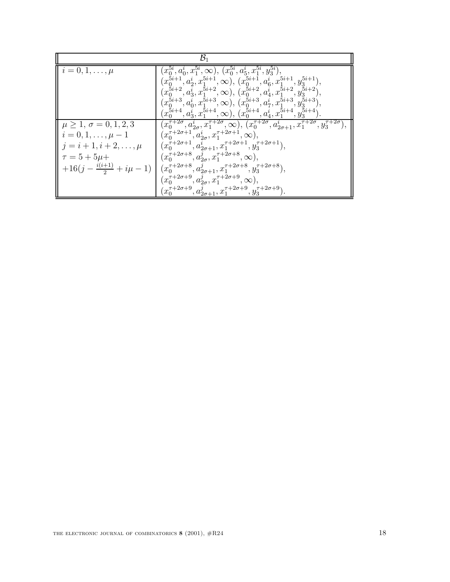| $\mathcal{B}_1$                                                                                                                                                |                                                                                                                                                                                                                                                                                                                                                                                                                                                                                                                                                                                                                                                               |
|----------------------------------------------------------------------------------------------------------------------------------------------------------------|---------------------------------------------------------------------------------------------------------------------------------------------------------------------------------------------------------------------------------------------------------------------------------------------------------------------------------------------------------------------------------------------------------------------------------------------------------------------------------------------------------------------------------------------------------------------------------------------------------------------------------------------------------------|
| $\parallel i=0,1,\ldots,\mu$                                                                                                                                   | $(x_0^{5i}, a_0^i, x_1^{5i}, \infty), (x_0^{5i}, a_5^i, x_1^{5i}, y_3^{5i})$<br>$(x_0^{5i+1}, a_2^i, x_1^{5i+1}, \infty), (x_0^{5i+1}, a_6^i, x_1^{5i+1}, y_3^{5i+1}),$<br>$(x_0^{5i+2}, a_3^i, x_1^{5i+2}, \infty), (x_0^{5i+2}, a_4^i, x_1^{5i+2}, y_3^{5i+2}),$<br>$(x_0^{5i+3}, a_0^i, x_1^{5i+3}, \infty), (x_0^{5i+3}, a_7^i, x_1^{5i+3}, y_3^{5i+3}),$<br>$(x_0^{5i+4}, a_3^i, x_1^{5i+4}, \infty), (x_0^{5i+4}, a_4^i, x_1^{5i+4}, y_3^{5i+4}).$                                                                                                                                                                                                      |
| $\mu \geq 1, \sigma = 0, 1, 2, 3$<br>$i = 0, 1, \ldots, \mu - 1$<br>$j = i + 1, i + 2, \ldots, \mu$<br>$\tau = 5 + 5\mu +$<br>$+16(j-\frac{i(i+1)}{2}+i\mu-1)$ | $(x_0^{\tau+2\sigma}, a_{2\sigma}^i, x_1^{\tau+2\sigma}, \infty), (x_0^{\tau+2\sigma}, a_{2\sigma+1}^i, x_1^{\tau+2\sigma}, y_3^{\tau+2\sigma}),$<br>$(x_0^{\tau+2\sigma+1}, a_{2\sigma}^i, x_1^{\tau+2\sigma+1}, \infty),$<br>$(x_0^{\tau+2\sigma+1}, a_{2\sigma+1}^i, x_1^{\tau+2\sigma+1}, y_3^{\tau+2\sigma+1}),$<br>$(x_0^{\tau+2\sigma+8}, a_{2\sigma}^j, x_1^{\tau+2\sigma+8}, \infty),$<br>$(x_0^{\tau+2\sigma+8}, a_{2\sigma+1}^j, x_1^{\tau+2\sigma+8}, y_3^{\tau+2\sigma+8}),$<br>$(x_0^{\tau+2\sigma+9}, a_{2\sigma}^j, x_1^{\tau+2\sigma+9}, \infty),$<br>$(x_0^{\tau+2\sigma+9}, a_{2\sigma+1}^j, x_1^{\tau+2\sigma+9}, y_3^{\tau+2\sigma+9}).$ |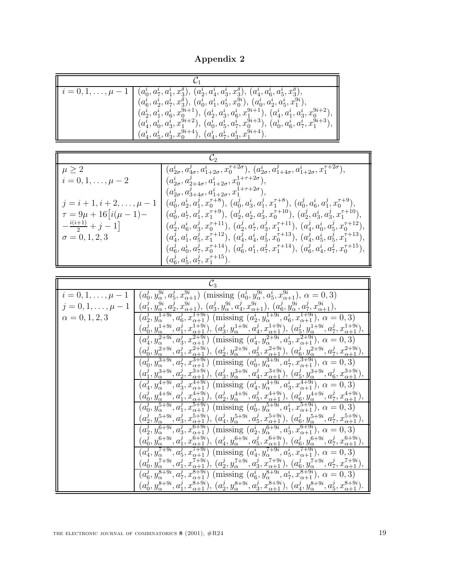**Appendix 2**

| $\  i = 0, 1, \ldots, \mu - 1 \ $ | $(a_0^i, a_7^i, a_1^i, x_3^o), (a_2^i, a_4^i, a_3^i, x_3^o), (a_4^i, a_6^i, a_5^i, x_3^o),$<br>$(a^i_6,a^i_2,a^i_7,x^{\delta}_3),\,(a^i_0,a^i_1,a^i_5,x^{9i}_0),\,(a^i_0,a^i_2,a^i_5,x^{9i}_1),$ |
|-----------------------------------|--------------------------------------------------------------------------------------------------------------------------------------------------------------------------------------------------|
|                                   | $(a_2^i, a_1^i, a_6^i, x_0^{9i+1}), (a_2^i, a_3^i, a_6^i, x_1^{9i+1}), (a_4^i, a_1^i, a_3^i, x_0^{9i+2})$                                                                                        |
|                                   | $(a_4^i, a_0^i, a_3^i, x_1^{9i+2}), (a_0^i, a_5^i, a_7^i, x_0^{9i+3}), (a_0^i, a_6^i, a_7^i, x_1^{9i+3}),$<br>$(a_4^i, a_5^i, a_3^i, x_0^{9i+4}), (a_4^i, a_7^i, a_3^i, x_1^{9i+4}).$            |

| $\mu \geq 2$                        | $(a_{2\sigma}^i, a_{4\sigma}^j, a_{1+2\sigma}^i, x_0^{\tau+2\sigma}), (a_{2\sigma}^i, a_{1+4\sigma}^j, a_{1+2\sigma}^i, x_1^{\tau+2\sigma}),$ |
|-------------------------------------|-----------------------------------------------------------------------------------------------------------------------------------------------|
| $i = 0, 1, \ldots, \mu - 2$         | $(a_{2\sigma}^i, a_{2+4\sigma}^j, a_{1+2\sigma}^i, x_0^{1+\tau+2\sigma}),$                                                                    |
|                                     | $(a_{2\sigma}^i, a_{3+4\sigma}^j, a_{1+2\sigma}^i, x_1^{1+\tau+2\sigma}),$                                                                    |
| $j = i + 1, i + 2, \ldots, \mu - 1$ | $(a_0^j, a_2^i, a_1^j, x_0^{\tau+8}), (a_0^j, a_3^i, a_1^j, x_1^{\tau+8}), (a_0^j, a_6^i, a_1^j, x_0^{\tau+9}),$                              |
| $\tau = 9\mu + 16 i(\mu - 1) -$     | $(a_0^j, a_7^i, a_1^j, x_1^{\tau+9}), (a_2^j, a_2^i, a_3^j, x_0^{\tau+10}), (a_2^j, a_3^i, a_3^j, x_1^{\tau+10}),$                            |
| $-\frac{i(i+1)}{2}+j-1$             | $(a_2^j, a_6^i, a_3^j, x_0^{\tau+11}), (a_2^j, a_7^i, a_3^j, x_1^{\tau+11}), (a_4^j, a_0^i, a_5^j, x_0^{\tau+12}),$                           |
| $\sigma = 0, 1, 2, 3$               | $(a_4^j, a_1^i, a_5^j, x_1^{\tau+12}), (a_4^j, a_4^i, a_5^j, x_0^{\tau+13}), (a_4^j, a_5^i, a_5^j, x_1^{\tau+13}),$                           |
|                                     | $(a^j_6,a^i_0,a^j_7,x_0^{\tau+14}),\,(a^j_6,a^i_1,a^j_7,x_1^{\tau+14}),\,(a^j_6,a^i_4,a^j_7,x_0^{\tau+15}),$                                  |
|                                     | $(a_6^j, a_5^i, a_7^j, x_1^{\tau+15}).$                                                                                                       |

| $\mathcal{C}_3$             |                                                                                                                                                                                                                                                                                                                                                    |  |
|-----------------------------|----------------------------------------------------------------------------------------------------------------------------------------------------------------------------------------------------------------------------------------------------------------------------------------------------------------------------------------------------|--|
| $i = 0, 1, \ldots, \mu - 1$ | $(a_0^j, y_\alpha^{9i}, a_5^j, x_{\alpha+1}^{9i})$ (missing $(a_0^i, y_\alpha^{9i}, a_5^i, x_{\alpha+1}^{9i}), \alpha = 0, 3$ )                                                                                                                                                                                                                    |  |
| $j = 0, 1, \ldots, \mu - 1$ | $(a_1^j, y_\alpha^{9i}, a_2^j, x_{\alpha+1}^{9i}), (a_3^j, y_\alpha^{9i}, a_4^j, x_{\alpha+1}^{9i}), (a_6^j, y_\alpha^{9i}, a_7^j, x_{\alpha+1}^{9i}),$                                                                                                                                                                                            |  |
| $\alpha = 0, 1, 2, 3$       | $(a_2^j, y_{\alpha}^{1+9i}, a_6^j, x_{\alpha+1}^{1+9i})$ (missing $(a_2^i, y_{\alpha}^{1+9i}, a_6^i, x_{\alpha+1}^{1+9i}), \alpha = 0, 3)$                                                                                                                                                                                                         |  |
|                             | $(a_0^j, y_\alpha^{1+9i}, a_1^j, x_{\alpha+1}^{1+9i}), \, (a_3^j, y_\alpha^{1+9i}, a_4^j, x_{\alpha+1}^{1+9i}), \, (a_5^j, y_\alpha^{1+9i}, a_7^j, x_{\alpha+1}^{1+9i}),$                                                                                                                                                                          |  |
|                             | $(a_4^j, y_\alpha^{2+9i}, a_3^j, x_{\alpha+1}^{2+9i})$ (missing $(a_4^i, y_\alpha^{2+9i}, a_3^i, x_{\alpha+1}^{2+9i}), \alpha = 0, 3$ )                                                                                                                                                                                                            |  |
|                             | $\begin{array}{c} (a_0^j,y_\alpha^{2+9i},a_1^j,x_{\alpha+1}^{2+9i}),\,(a_2^j,y_\alpha^{2+9i},a_5^j,x_{\alpha+1}^{2+9i}),\,(a_6^j,y_\alpha^{2+9i},a_7^j,x_{\alpha+1}^{2+9i}),\\ (a_0^j,y_\alpha^{3+9i},a_7^j,x_{\alpha+1}^{3+9i})\text{ (missing }(a_0^i,y_\alpha^{3+9i},a_7^i,x_{\alpha+1}^{3+9i}),\,\alpha=0,3) \end{array}$                      |  |
|                             |                                                                                                                                                                                                                                                                                                                                                    |  |
|                             | $\begin{array}{c} (a_1^j, y_\alpha^{3+9i}, a_2^j, x_{\alpha+1}^{3+9i}), (a_3^j, y_\alpha^{3+9i}, a_4^j, x_{\alpha+1}^{3+9i}), (a_5^j, y_\alpha^{3+9i}, a_6^j, x_{\alpha+1}^{3+9i})\\ (a_4^j, y_\alpha^{4+9i}, a_3^j, x_{\alpha+1}^{4+9i}) \text{ (missing }(a_4^i, y_\alpha^{4+9i}, a_3^i, x_{\alpha+1}^{4+9i}), \alpha = 0, 3) \end{array}$       |  |
|                             |                                                                                                                                                                                                                                                                                                                                                    |  |
|                             |                                                                                                                                                                                                                                                                                                                                                    |  |
|                             | $\frac{(a_0^j, y_\alpha^{4+9i}, a_1^j, x_{\alpha+1}^{4+9i}), (a_2^j, y_\alpha^{4+9i}, a_3^j, x_{\alpha+1}^{4+9i}), (a_6^j, y_\alpha^{4+9i}, a_7^j, x_{\alpha+1}^{4+9i})}{(a_0^j, y_\alpha^{5+9i}, a_1^j, x_{\alpha+1}^{5+9i})$ (missing $(a_0^i, y_\alpha^{5+9i}, a_1^i, x_{\alpha+1}^{5+9i}), \alpha = 0, 3)$                                     |  |
|                             | $\begin{array}{c} (a^j_2, y^{{\bf 5}+9i}_\alpha, a^j_3, x^{{\bf 5}+9i}_{\alpha+1}), \, (a^j_4, y^{{\bf 5}+9i}_\alpha, a^j_5, x^{{\bf 5}+9i}_{\alpha+1}), \, (a^j_6, y^{{\bf 5}+9i}_\alpha, a^j_7, x^{{\bf 5}+9i}_{\alpha+1}),\\ (a^j_2, y^{{\bf 6}+9i}_\alpha, a^j_3, x^{{\bf 6}+9i}_{\alpha+1}) \text{ (missing } (a^i_2, y^{{\bf 6}+9i}_\alpha,$ |  |
|                             |                                                                                                                                                                                                                                                                                                                                                    |  |
|                             | $(a_0^j, y_\alpha^{6+9i}, a_1^j, x_{\alpha+1}^{6+9i}), (a_4^j, y_\alpha^{6+9i}, a_5^j, x_{\alpha+1}^{6+9i}), (a_6^j, y_\alpha^{6+9i}, a_7^j, x_{\alpha+1}^{6+9i}),$                                                                                                                                                                                |  |
|                             | $(a_4^j, y_\alpha^{7+9i}, a_5^j, x_{\alpha+1}^{7+9i})$ (missing $(a_4^i, y_\alpha^{7+9i}, a_5^i, x_{\alpha+1}^{7+9i}), \alpha = 0, 3$ )                                                                                                                                                                                                            |  |
|                             | $(a_0^j, y_\alpha^{7+9i}, a_1^j, x_{\alpha+1}^{7+9i}), \, (a_2^j, y_\alpha^{7+9i}, a_3^j, x_{\alpha+1}^{7+9i}), \, (a_6^j, y_\alpha^{7+9i}, a_7^j, x_{\alpha+1}^{7+9i}),$                                                                                                                                                                          |  |
|                             | $(a_6^j, y_\alpha^{8+9i}, a_7^j, x_{\alpha+1}^{8+9i})$ (missing $(a_6^i, y_\alpha^{8+9i}, a_7^i, x_{\alpha+1}^{8+9i}), \alpha = 0, 3$ )                                                                                                                                                                                                            |  |
|                             | $(a_0^j, y_\alpha^{8+9i}, a_1^j, x_{\alpha+1}^{8+9i}), \, (a_2^j, y_\alpha^{8+9i}, a_3^j, x_{\alpha+1}^{8+9i}), \, (a_4^j, y_\alpha^{8+9i}, a_5^j, x_{\alpha+1}^{8+9i})$                                                                                                                                                                           |  |